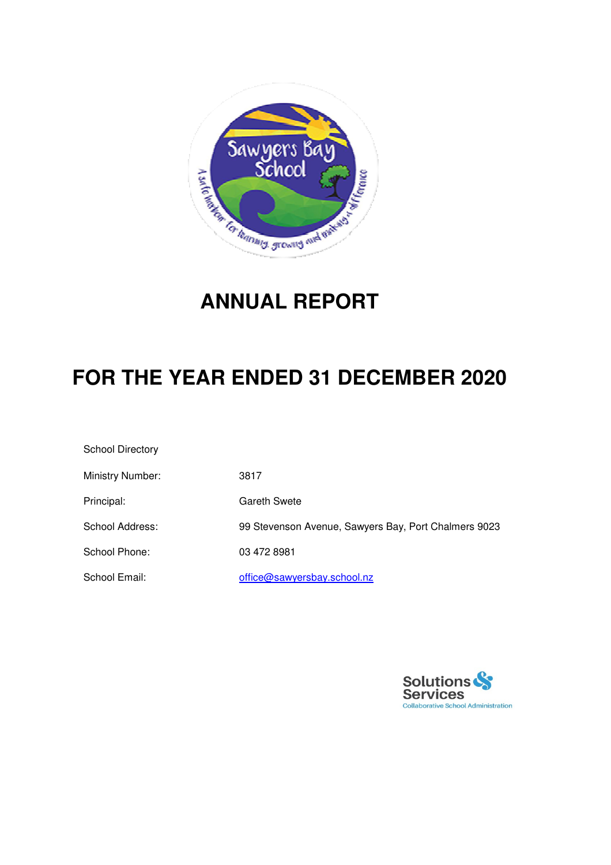

## **ANNUAL REPORT**

## **FOR THE YEAR ENDED 31 DECEMBER 2020**

| <b>School Directory</b> |                                                      |
|-------------------------|------------------------------------------------------|
| Ministry Number:        | 3817                                                 |
| Principal:              | Gareth Swete                                         |
| School Address:         | 99 Stevenson Avenue, Sawyers Bay, Port Chalmers 9023 |
| School Phone:           | 03 472 8981                                          |
| School Email:           | office@sawyersbay.school.nz                          |

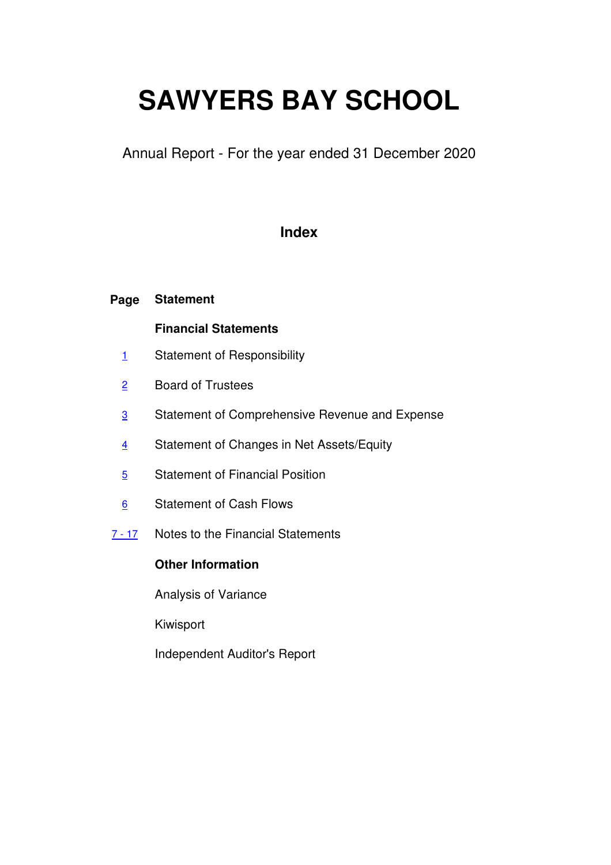# **SAWYERS BAY SCHOOL**

Annual Report - For the year ended 31 December 2020

### **Index**

#### **Page Statement**

### **Financial Statements**

- 1 Statement of Responsibility
- 2 Board of Trustees
- 3 Statement of Comprehensive Revenue and Expense
- 4 Statement of Changes in Net Assets/Equity
- 5 Statement of Financial Position
- 6 Statement of Cash Flows
- 7 17 Notes to the Financial Statements

### **Other Information**

Analysis of Variance

Kiwisport

Independent Auditor's Report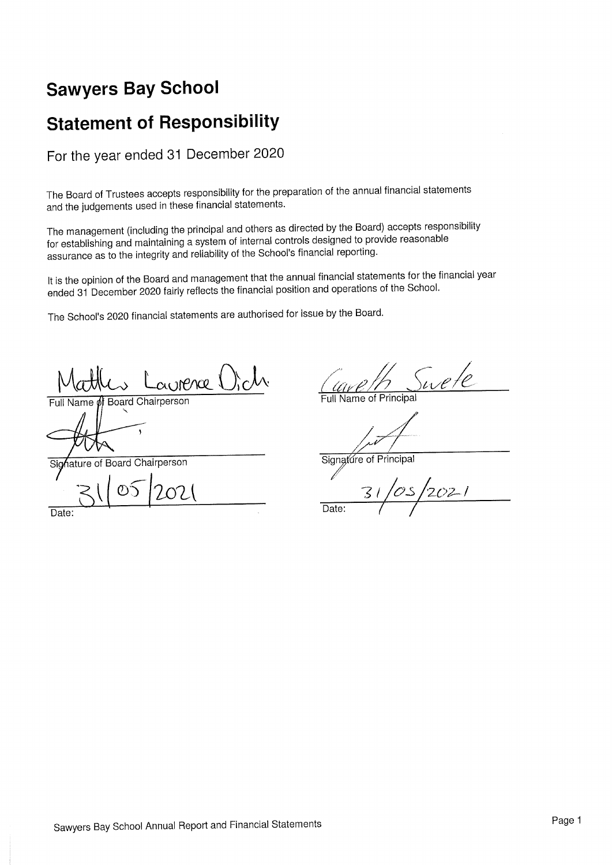## **Sawyers Bay School**

## **Statement of Responsibility**

For the year ended 31 December 2020

The Board of Trustees accepts responsibility for the preparation of the annual financial statements and the judgements used in these financial statements.

The management (including the principal and others as directed by the Board) accepts responsibility for establishing and maintaining a system of internal controls designed to provide reasonable assurance as to the integrity and reliability of the School's financial reporting.

It is the opinion of the Board and management that the annual financial statements for the financial year ended 31 December 2020 fairly reflects the financial position and operations of the School.

The School's 2020 financial statements are authorised for issue by the Board.

ai IMPACI

**Board Chairperson Jame** 

hature of Board Chairperson Sia

Date:

wete

**Full Name of Principa** 

Signature of Principal

 $OZ^{-1}$ Date: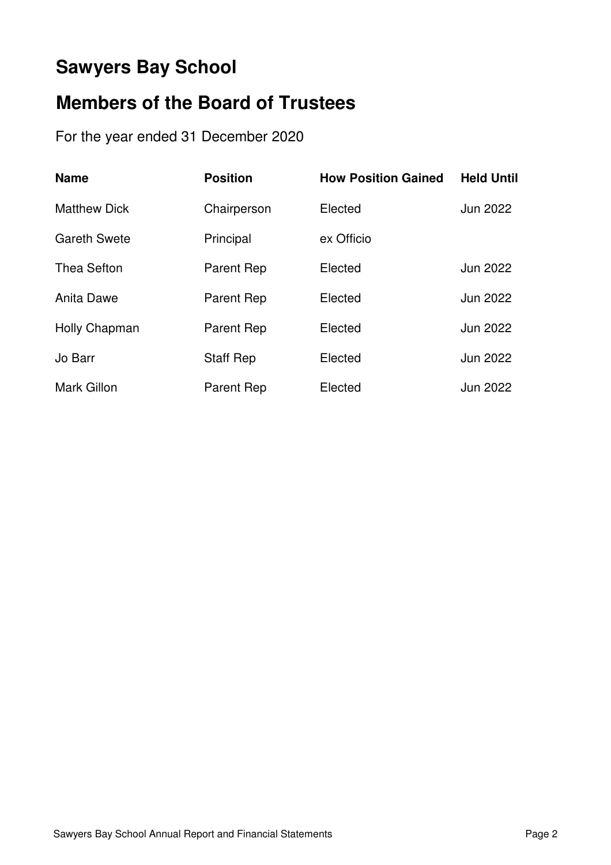## **Sawyers Bay School**

## **Members of the Board of Trustees**

For the year ended 31 December 2020

| <b>Name</b>         | <b>Position</b>   | <b>How Position Gained</b> | <b>Held Until</b> |
|---------------------|-------------------|----------------------------|-------------------|
| <b>Matthew Dick</b> | Chairperson       | Elected                    | Jun 2022          |
| <b>Gareth Swete</b> | Principal         | ex Officio                 |                   |
| <b>Thea Sefton</b>  | Parent Rep        | Elected                    | Jun 2022          |
| <b>Anita Dawe</b>   | Parent Rep        | Elected                    | Jun 2022          |
| Holly Chapman       | <b>Parent Rep</b> | Elected                    | Jun 2022          |
| Jo Barr             | <b>Staff Rep</b>  | Elected                    | Jun 2022          |
| <b>Mark Gillon</b>  | <b>Parent Rep</b> | Elected                    | Jun 2022          |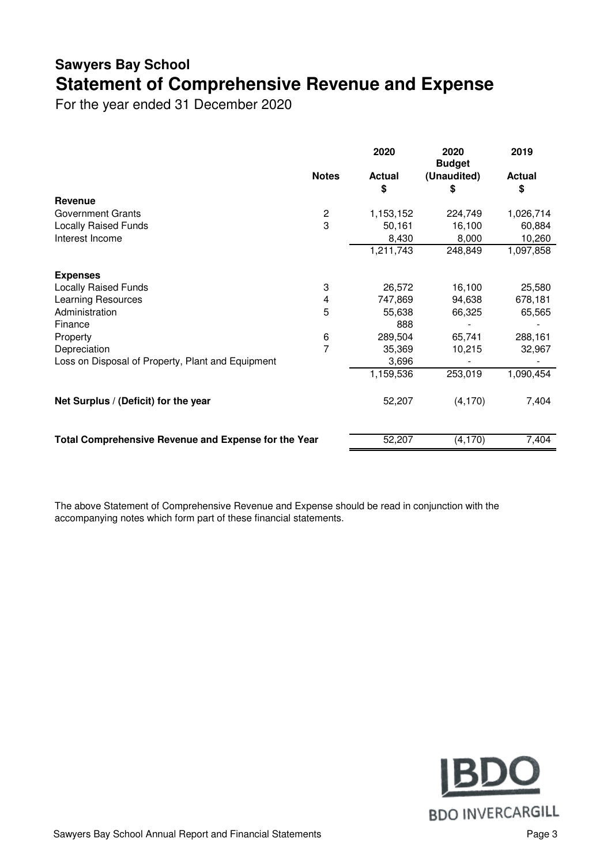## **Sawyers Bay School Statement of Comprehensive Revenue and Expense**

For the year ended 31 December 2020

|                                                             |                         | 2020                | 2020<br><b>Budget</b> | 2019                |
|-------------------------------------------------------------|-------------------------|---------------------|-----------------------|---------------------|
|                                                             | <b>Notes</b>            | <b>Actual</b><br>\$ | (Unaudited)<br>S      | <b>Actual</b><br>\$ |
| <b>Revenue</b>                                              |                         |                     |                       |                     |
| Government Grants                                           | $\overline{\mathbf{c}}$ | 1,153,152           | 224,749               | 1,026,714           |
| <b>Locally Raised Funds</b>                                 | 3                       | 50,161              | 16,100                | 60,884              |
| Interest Income                                             |                         | 8,430               | 8,000                 | 10,260              |
|                                                             |                         | 1,211,743           | 248,849               | 1,097,858           |
| <b>Expenses</b>                                             |                         |                     |                       |                     |
| <b>Locally Raised Funds</b>                                 | 3                       | 26,572              | 16,100                | 25,580              |
| Learning Resources                                          | 4                       | 747,869             | 94,638                | 678,181             |
| Administration                                              | 5                       | 55,638              | 66,325                | 65,565              |
| Finance                                                     |                         | 888                 |                       |                     |
| Property                                                    | 6                       | 289,504             | 65,741                | 288,161             |
| Depreciation                                                | $\overline{7}$          | 35,369              | 10,215                | 32,967              |
| Loss on Disposal of Property, Plant and Equipment           |                         | 3,696               |                       |                     |
|                                                             |                         | 1,159,536           | 253,019               | 1,090,454           |
| Net Surplus / (Deficit) for the year                        |                         | 52,207              | (4, 170)              | 7,404               |
| <b>Total Comprehensive Revenue and Expense for the Year</b> |                         | 52,207              | (4, 170)              | 7,404               |

The above Statement of Comprehensive Revenue and Expense should be read in conjunction with the accompanying notes which form part of these financial statements.

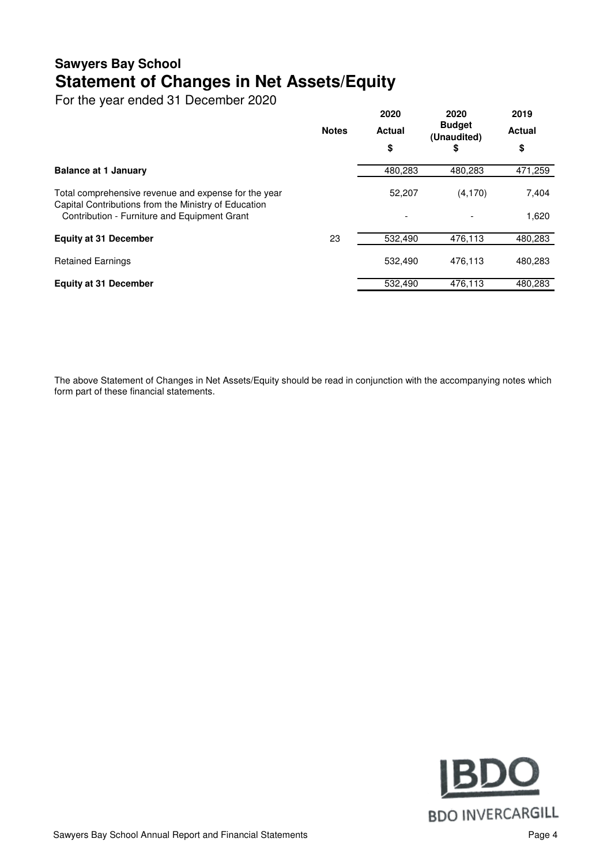### **Sawyers Bay School Statement of Changes in Net Assets/Equity**

For the year ended 31 December 2020

|                                                                                                              | <b>Notes</b> | 2020<br><b>Actual</b> | 2020<br><b>Budget</b><br>(Unaudited) | 2019<br><b>Actual</b> |
|--------------------------------------------------------------------------------------------------------------|--------------|-----------------------|--------------------------------------|-----------------------|
|                                                                                                              |              | \$                    | \$                                   | \$                    |
| <b>Balance at 1 January</b>                                                                                  |              | 480.283               | 480.283                              | 471,259               |
| Total comprehensive revenue and expense for the year<br>Capital Contributions from the Ministry of Education |              | 52,207                | (4, 170)                             | 7,404                 |
| Contribution - Furniture and Equipment Grant                                                                 |              |                       |                                      | 1,620                 |
| <b>Equity at 31 December</b>                                                                                 | 23           | 532,490               | 476,113                              | 480,283               |
| <b>Retained Earnings</b>                                                                                     |              | 532.490               | 476.113                              | 480,283               |
| <b>Equity at 31 December</b>                                                                                 |              | 532.490               | 476.113                              | 480.283               |

The above Statement of Changes in Net Assets/Equity should be read in conjunction with the accompanying notes which form part of these financial statements.

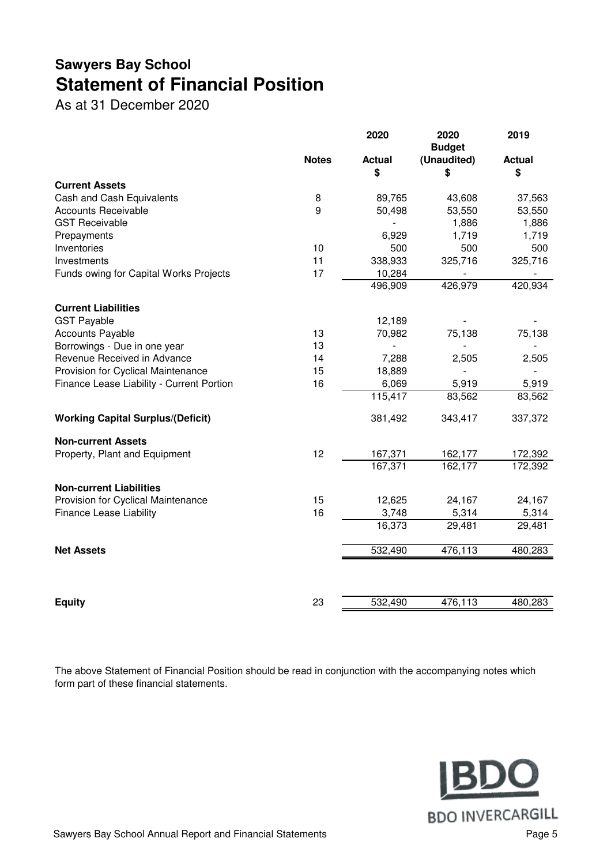## **Sawyers Bay School Statement of Financial Position**

As at 31 December 2020

|                                           |              | 2020          | 2020<br><b>Budget</b> | 2019          |
|-------------------------------------------|--------------|---------------|-----------------------|---------------|
|                                           | <b>Notes</b> | <b>Actual</b> | (Unaudited)           | <b>Actual</b> |
| <b>Current Assets</b>                     |              | \$            | \$                    | \$            |
| Cash and Cash Equivalents                 | 8            | 89,765        | 43,608                | 37,563        |
| <b>Accounts Receivable</b>                | 9            | 50,498        | 53,550                | 53,550        |
| <b>GST Receivable</b>                     |              |               | 1,886                 | 1,886         |
| Prepayments                               |              | 6,929         | 1,719                 | 1,719         |
| Inventories                               | 10           | 500           | 500                   | 500           |
| Investments                               | 11           | 338,933       | 325,716               | 325,716       |
| Funds owing for Capital Works Projects    | 17           | 10,284        |                       |               |
|                                           |              | 496,909       | 426,979               | 420,934       |
| <b>Current Liabilities</b>                |              |               |                       |               |
| <b>GST Payable</b>                        |              | 12,189        |                       |               |
| <b>Accounts Payable</b>                   | 13           | 70,982        | 75,138                | 75,138        |
| Borrowings - Due in one year              | 13           |               |                       |               |
| Revenue Received in Advance               | 14           | 7,288         | 2,505                 | 2,505         |
| Provision for Cyclical Maintenance        | 15           | 18,889        |                       |               |
| Finance Lease Liability - Current Portion | 16           | 6,069         | 5,919                 | 5,919         |
|                                           |              | 115,417       | 83,562                | 83,562        |
| <b>Working Capital Surplus/(Deficit)</b>  |              | 381,492       | 343,417               | 337,372       |
| <b>Non-current Assets</b>                 |              |               |                       |               |
| Property, Plant and Equipment             | 12           | 167,371       | 162,177               | 172,392       |
|                                           |              | 167,371       | 162,177               | 172,392       |
| <b>Non-current Liabilities</b>            |              |               |                       |               |
| Provision for Cyclical Maintenance        | 15           | 12,625        | 24,167                | 24,167        |
| <b>Finance Lease Liability</b>            | 16           | 3,748         | 5,314                 | 5,314         |
|                                           |              | 16,373        | 29,481                | 29,481        |
| <b>Net Assets</b>                         |              | 532,490       | 476,113               | 480,283       |
|                                           |              |               |                       |               |
| <b>Equity</b>                             | 23           | 532,490       | 476,113               | 480,283       |
|                                           |              |               |                       |               |

The above Statement of Financial Position should be read in conjunction with the accompanying notes which form part of these financial statements.

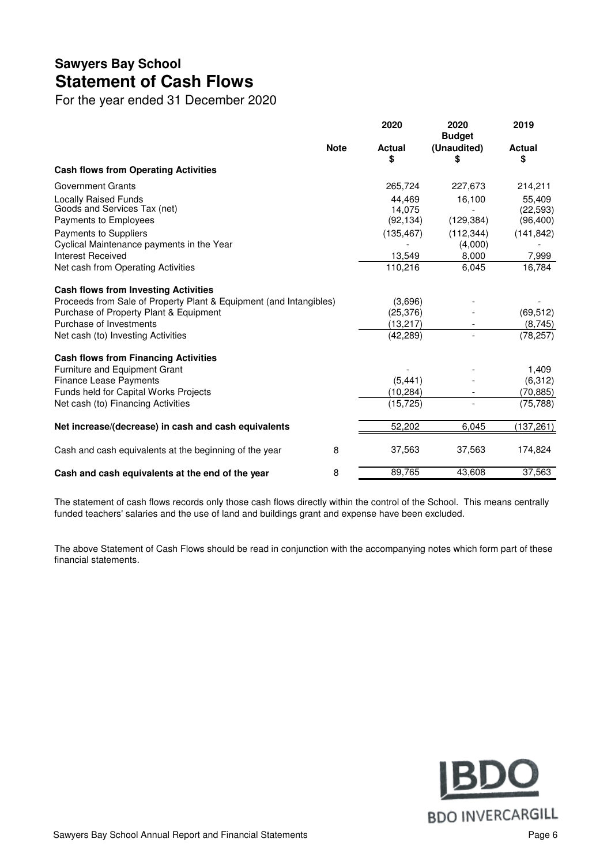### **Sawyers Bay School Statement of Cash Flows**

For the year ended 31 December 2020

|                                                                    |             | 2020          | 2020<br><b>Budget</b> | 2019          |
|--------------------------------------------------------------------|-------------|---------------|-----------------------|---------------|
|                                                                    | <b>Note</b> | <b>Actual</b> | (Unaudited)           | <b>Actual</b> |
| <b>Cash flows from Operating Activities</b>                        |             | \$            | \$                    | \$            |
|                                                                    |             |               |                       |               |
| Government Grants                                                  |             | 265,724       | 227,673               | 214,211       |
| <b>Locally Raised Funds</b>                                        |             | 44.469        | 16,100                | 55.409        |
| Goods and Services Tax (net)                                       |             | 14,075        |                       | (22, 593)     |
| Payments to Employees                                              |             | (92, 134)     | (129, 384)            | (96, 400)     |
| Payments to Suppliers                                              |             | (135, 467)    | (112, 344)            | (141, 842)    |
| Cyclical Maintenance payments in the Year                          |             |               | (4,000)               |               |
| Interest Received                                                  |             | 13,549        | 8,000                 | 7,999         |
| Net cash from Operating Activities                                 |             | 110,216       | 6,045                 | 16,784        |
| <b>Cash flows from Investing Activities</b>                        |             |               |                       |               |
| Proceeds from Sale of Property Plant & Equipment (and Intangibles) |             | (3,696)       |                       |               |
| Purchase of Property Plant & Equipment                             |             | (25, 376)     |                       | (69, 512)     |
| Purchase of Investments                                            |             | (13, 217)     |                       | (8,745)       |
| Net cash (to) Investing Activities                                 |             | (42, 289)     |                       | (78, 257)     |
| <b>Cash flows from Financing Activities</b>                        |             |               |                       |               |
| Furniture and Equipment Grant                                      |             |               |                       | 1,409         |
| <b>Finance Lease Payments</b>                                      |             | (5, 441)      |                       | (6,312)       |
| Funds held for Capital Works Projects                              |             | (10, 284)     |                       | (70, 885)     |
| Net cash (to) Financing Activities                                 |             | (15, 725)     |                       | (75, 788)     |
| Net increase/(decrease) in cash and cash equivalents               |             | 52,202        | 6,045                 | (137, 261)    |
| Cash and cash equivalents at the beginning of the year             | 8           | 37,563        | 37,563                | 174,824       |
| Cash and cash equivalents at the end of the year                   | 8           | 89,765        | 43,608                | 37,563        |

The statement of cash flows records only those cash flows directly within the control of the School. This means centrally funded teachers' salaries and the use of land and buildings grant and expense have been excluded.

The above Statement of Cash Flows should be read in conjunction with the accompanying notes which form part of these financial statements.

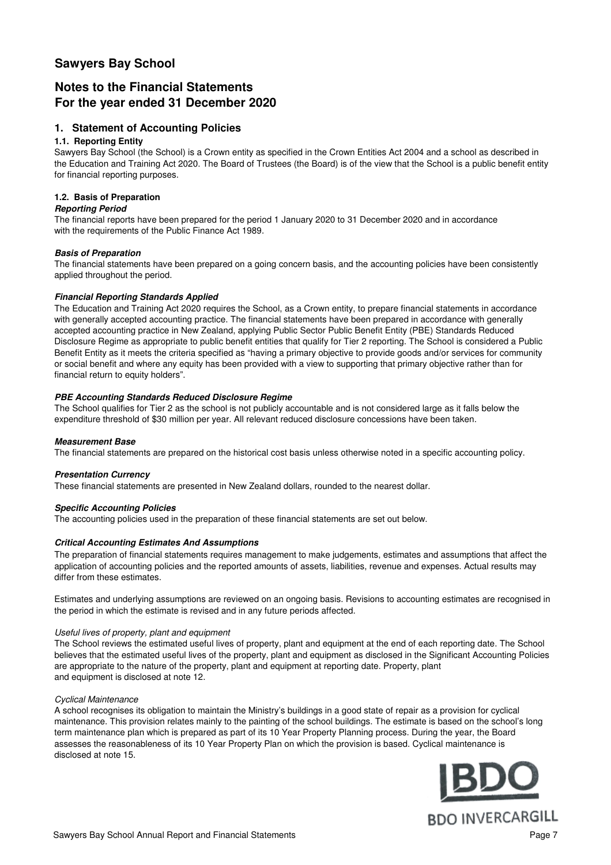#### **Sawyers Bay School**

### **Notes to the Financial Statements For the year ended 31 December 2020**

#### **1. Statement of Accounting Policies**

#### **1.1. Reporting Entity**

Sawyers Bay School (the School) is a Crown entity as specified in the Crown Entities Act 2004 and a school as described in the Education and Training Act 2020. The Board of Trustees (the Board) is of the view that the School is a public benefit entity for financial reporting purposes.

#### **1.2. Basis of Preparation**

#### **Reporting Period**

The financial reports have been prepared for the period 1 January 2020 to 31 December 2020 and in accordance with the requirements of the Public Finance Act 1989.

#### **Basis of Preparation**

The financial statements have been prepared on a going concern basis, and the accounting policies have been consistently applied throughout the period.

#### **Financial Reporting Standards Applied**

The Education and Training Act 2020 requires the School, as a Crown entity, to prepare financial statements in accordance with generally accepted accounting practice. The financial statements have been prepared in accordance with generally accepted accounting practice in New Zealand, applying Public Sector Public Benefit Entity (PBE) Standards Reduced Disclosure Regime as appropriate to public benefit entities that qualify for Tier 2 reporting. The School is considered a Public Benefit Entity as it meets the criteria specified as "having a primary objective to provide goods and/or services for community or social benefit and where any equity has been provided with a view to supporting that primary objective rather than for financial return to equity holders".

#### **PBE Accounting Standards Reduced Disclosure Regime**

The School qualifies for Tier 2 as the school is not publicly accountable and is not considered large as it falls below the expenditure threshold of \$30 million per year. All relevant reduced disclosure concessions have been taken.

#### **Measurement Base**

The financial statements are prepared on the historical cost basis unless otherwise noted in a specific accounting policy.

#### **Presentation Currency**

These financial statements are presented in New Zealand dollars, rounded to the nearest dollar.

#### **Specific Accounting Policies**

The accounting policies used in the preparation of these financial statements are set out below.

#### **Critical Accounting Estimates And Assumptions**

The preparation of financial statements requires management to make judgements, estimates and assumptions that affect the application of accounting policies and the reported amounts of assets, liabilities, revenue and expenses. Actual results may differ from these estimates.

Estimates and underlying assumptions are reviewed on an ongoing basis. Revisions to accounting estimates are recognised in the period in which the estimate is revised and in any future periods affected.

#### Useful lives of property, plant and equipment

and equipment is disclosed at note 12. The School reviews the estimated useful lives of property, plant and equipment at the end of each reporting date. The School believes that the estimated useful lives of the property, plant and equipment as disclosed in the Significant Accounting Policies are appropriate to the nature of the property, plant and equipment at reporting date. Property, plant

#### Cyclical Maintenance

disclosed at note 15. A school recognises its obligation to maintain the Ministry's buildings in a good state of repair as a provision for cyclical maintenance. This provision relates mainly to the painting of the school buildings. The estimate is based on the school's long term maintenance plan which is prepared as part of its 10 Year Property Planning process. During the year, the Board assesses the reasonableness of its 10 Year Property Plan on which the provision is based. Cyclical maintenance is

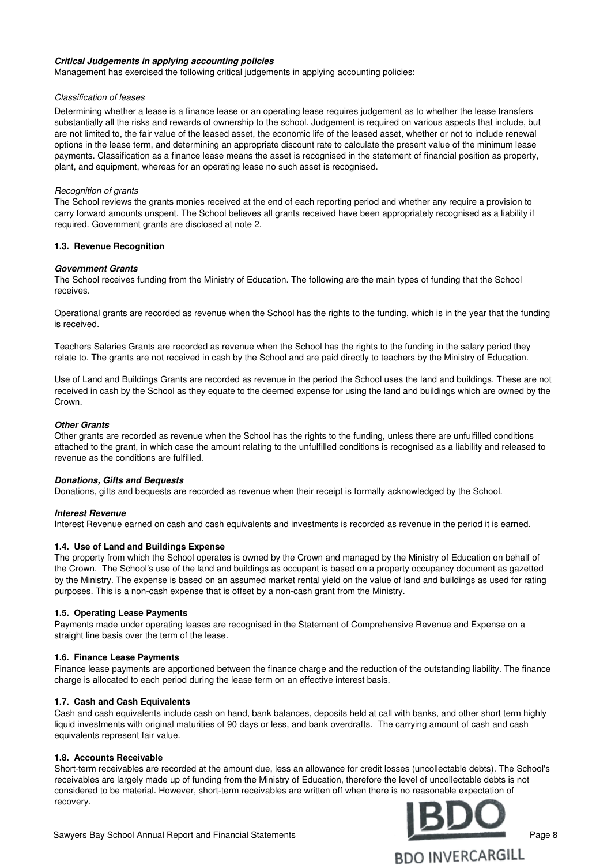#### **Critical Judgements in applying accounting policies**

Management has exercised the following critical judgements in applying accounting policies:

#### Classification of leases

Determining whether a lease is a finance lease or an operating lease requires judgement as to whether the lease transfers substantially all the risks and rewards of ownership to the school. Judgement is required on various aspects that include, but are not limited to, the fair value of the leased asset, the economic life of the leased asset, whether or not to include renewal options in the lease term, and determining an appropriate discount rate to calculate the present value of the minimum lease payments. Classification as a finance lease means the asset is recognised in the statement of financial position as property, plant, and equipment, whereas for an operating lease no such asset is recognised.

#### Recognition of grants

The School reviews the grants monies received at the end of each reporting period and whether any require a provision to carry forward amounts unspent. The School believes all grants received have been appropriately recognised as a liability if required. Government grants are disclosed at note 2.

#### **1.3. Revenue Recognition**

#### **Government Grants**

The School receives funding from the Ministry of Education. The following are the main types of funding that the School receives.

Operational grants are recorded as revenue when the School has the rights to the funding, which is in the year that the funding is received.

Teachers Salaries Grants are recorded as revenue when the School has the rights to the funding in the salary period they relate to. The grants are not received in cash by the School and are paid directly to teachers by the Ministry of Education.

Use of Land and Buildings Grants are recorded as revenue in the period the School uses the land and buildings. These are not received in cash by the School as they equate to the deemed expense for using the land and buildings which are owned by the Crown.

#### **Other Grants**

Other grants are recorded as revenue when the School has the rights to the funding, unless there are unfulfilled conditions attached to the grant, in which case the amount relating to the unfulfilled conditions is recognised as a liability and released to revenue as the conditions are fulfilled.

#### **Donations, Gifts and Bequests**

Donations, gifts and bequests are recorded as revenue when their receipt is formally acknowledged by the School.

#### **Interest Revenue**

Interest Revenue earned on cash and cash equivalents and investments is recorded as revenue in the period it is earned.

#### **1.4. Use of Land and Buildings Expense**

The property from which the School operates is owned by the Crown and managed by the Ministry of Education on behalf of the Crown. The School's use of the land and buildings as occupant is based on a property occupancy document as gazetted by the Ministry. The expense is based on an assumed market rental yield on the value of land and buildings as used for rating purposes. This is a non-cash expense that is offset by a non-cash grant from the Ministry.

#### **1.5. Operating Lease Payments**

Payments made under operating leases are recognised in the Statement of Comprehensive Revenue and Expense on a straight line basis over the term of the lease.

#### **1.6. Finance Lease Payments**

Finance lease payments are apportioned between the finance charge and the reduction of the outstanding liability. The finance charge is allocated to each period during the lease term on an effective interest basis.

#### **1.7. Cash and Cash Equivalents**

Cash and cash equivalents include cash on hand, bank balances, deposits held at call with banks, and other short term highly liquid investments with original maturities of 90 days or less, and bank overdrafts. The carrying amount of cash and cash equivalents represent fair value.

#### **1.8. Accounts Receivable**

Short-term receivables are recorded at the amount due, less an allowance for credit losses (uncollectable debts). The School's receivables are largely made up of funding from the Ministry of Education, therefore the level of uncollectable debts is not considered to be material. However, short-term receivables are written off when there is no reasonable expectation of recovery.



Sawyers Bay School Annual Report and Financial Statements **Providence Contact Contact Contact Page 8** Page 8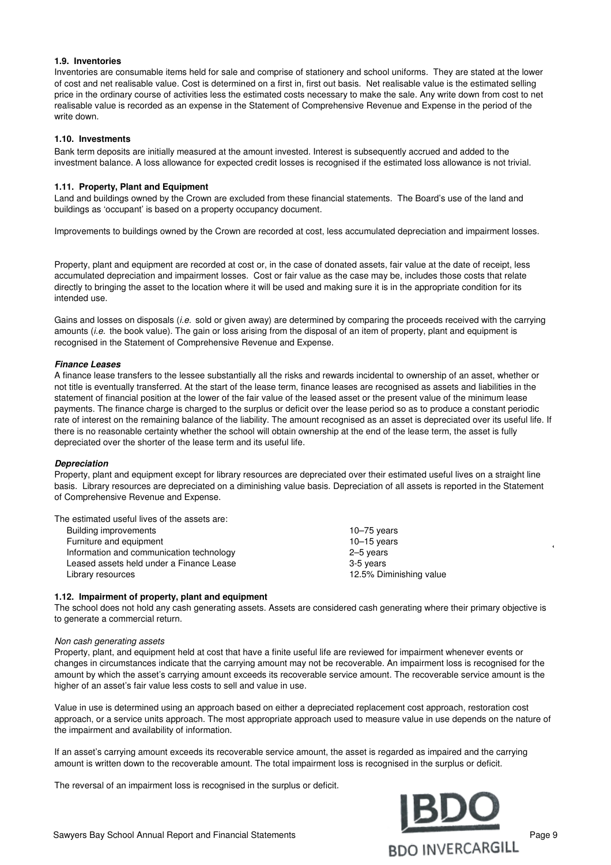#### **1.9. Inventories**

Inventories are consumable items held for sale and comprise of stationery and school uniforms. They are stated at the lower of cost and net realisable value. Cost is determined on a first in, first out basis. Net realisable value is the estimated selling price in the ordinary course of activities less the estimated costs necessary to make the sale. Any write down from cost to net realisable value is recorded as an expense in the Statement of Comprehensive Revenue and Expense in the period of the write down.

#### **1.10. Investments**

Bank term deposits are initially measured at the amount invested. Interest is subsequently accrued and added to the investment balance. A loss allowance for expected credit losses is recognised if the estimated loss allowance is not trivial.

#### **1.11. Property, Plant and Equipment**

Land and buildings owned by the Crown are excluded from these financial statements. The Board's use of the land and buildings as 'occupant' is based on a property occupancy document.

Improvements to buildings owned by the Crown are recorded at cost, less accumulated depreciation and impairment losses.

Property, plant and equipment are recorded at cost or, in the case of donated assets, fair value at the date of receipt, less accumulated depreciation and impairment losses. Cost or fair value as the case may be, includes those costs that relate directly to bringing the asset to the location where it will be used and making sure it is in the appropriate condition for its intended use.

Gains and losses on disposals *(i.e. sold or given away)* are determined by comparing the proceeds received with the carrying amounts (i.e. the book value). The gain or loss arising from the disposal of an item of property, plant and equipment is recognised in the Statement of Comprehensive Revenue and Expense.

#### **Finance Leases**

A finance lease transfers to the lessee substantially all the risks and rewards incidental to ownership of an asset, whether or not title is eventually transferred. At the start of the lease term, finance leases are recognised as assets and liabilities in the statement of financial position at the lower of the fair value of the leased asset or the present value of the minimum lease payments. The finance charge is charged to the surplus or deficit over the lease period so as to produce a constant periodic rate of interest on the remaining balance of the liability. The amount recognised as an asset is depreciated over its useful life. If there is no reasonable certainty whether the school will obtain ownership at the end of the lease term, the asset is fully depreciated over the shorter of the lease term and its useful life.

#### **Depreciation**

Property, plant and equipment except for library resources are depreciated over their estimated useful lives on a straight line basis. Library resources are depreciated on a diminishing value basis. Depreciation of all assets is reported in the Statement of Comprehensive Revenue and Expense.

The estimated useful lives of the assets are:

| Building improvements                    | $10 - 75$ years         |
|------------------------------------------|-------------------------|
| Furniture and equipment                  | $10 - 15$ years         |
| Information and communication technology | 2–5 years               |
| Leased assets held under a Finance Lease | 3-5 years               |
| Library resources                        | 12.5% Diminishing value |

#### **1.12. Impairment of property, plant and equipment**

The school does not hold any cash generating assets. Assets are considered cash generating where their primary objective is to generate a commercial return.

#### Non cash generating assets

Property, plant, and equipment held at cost that have a finite useful life are reviewed for impairment whenever events or changes in circumstances indicate that the carrying amount may not be recoverable. An impairment loss is recognised for the amount by which the asset's carrying amount exceeds its recoverable service amount. The recoverable service amount is the higher of an asset's fair value less costs to sell and value in use.

Value in use is determined using an approach based on either a depreciated replacement cost approach, restoration cost approach, or a service units approach. The most appropriate approach used to measure value in use depends on the nature of the impairment and availability of information.

If an asset's carrying amount exceeds its recoverable service amount, the asset is regarded as impaired and the carrying amount is written down to the recoverable amount. The total impairment loss is recognised in the surplus or deficit.

The reversal of an impairment loss is recognised in the surplus or deficit.

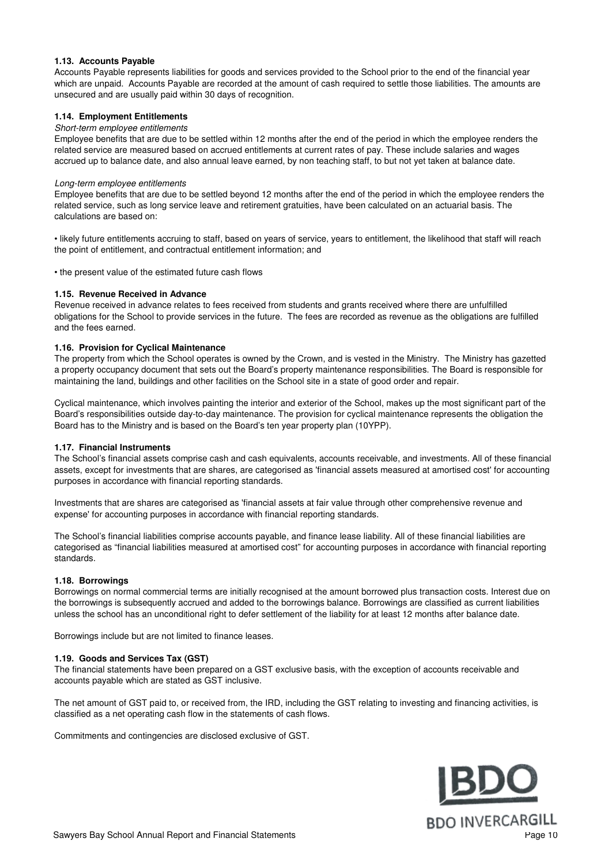#### **1.13. Accounts Payable**

Accounts Payable represents liabilities for goods and services provided to the School prior to the end of the financial year which are unpaid. Accounts Payable are recorded at the amount of cash required to settle those liabilities. The amounts are unsecured and are usually paid within 30 days of recognition.

#### **1.14. Employment Entitlements**

#### Short-term employee entitlements

Employee benefits that are due to be settled within 12 months after the end of the period in which the employee renders the related service are measured based on accrued entitlements at current rates of pay. These include salaries and wages accrued up to balance date, and also annual leave earned, by non teaching staff, to but not yet taken at balance date.

#### Long-term employee entitlements

Employee benefits that are due to be settled beyond 12 months after the end of the period in which the employee renders the related service, such as long service leave and retirement gratuities, have been calculated on an actuarial basis. The calculations are based on:

• likely future entitlements accruing to staff, based on years of service, years to entitlement, the likelihood that staff will reach the point of entitlement, and contractual entitlement information; and

• the present value of the estimated future cash flows

#### **1.15. Revenue Received in Advance**

Revenue received in advance relates to fees received from students and grants received where there are unfulfilled obligations for the School to provide services in the future. The fees are recorded as revenue as the obligations are fulfilled and the fees earned.

#### **1.16. Provision for Cyclical Maintenance**

The property from which the School operates is owned by the Crown, and is vested in the Ministry. The Ministry has gazetted a property occupancy document that sets out the Board's property maintenance responsibilities. The Board is responsible for maintaining the land, buildings and other facilities on the School site in a state of good order and repair.

Cyclical maintenance, which involves painting the interior and exterior of the School, makes up the most significant part of the Board's responsibilities outside day-to-day maintenance. The provision for cyclical maintenance represents the obligation the Board has to the Ministry and is based on the Board's ten year property plan (10YPP).

#### **1.17. Financial Instruments**

The School's financial assets comprise cash and cash equivalents, accounts receivable, and investments. All of these financial assets, except for investments that are shares, are categorised as 'financial assets measured at amortised cost' for accounting purposes in accordance with financial reporting standards.

Investments that are shares are categorised as 'financial assets at fair value through other comprehensive revenue and expense' for accounting purposes in accordance with financial reporting standards.

The School's financial liabilities comprise accounts payable, and finance lease liability. All of these financial liabilities are categorised as "financial liabilities measured at amortised cost" for accounting purposes in accordance with financial reporting standards.

#### **1.18. Borrowings**

Borrowings on normal commercial terms are initially recognised at the amount borrowed plus transaction costs. Interest due on the borrowings is subsequently accrued and added to the borrowings balance. Borrowings are classified as current liabilities unless the school has an unconditional right to defer settlement of the liability for at least 12 months after balance date.

Borrowings include but are not limited to finance leases.

#### **1.19. Goods and Services Tax (GST)**

The financial statements have been prepared on a GST exclusive basis, with the exception of accounts receivable and accounts payable which are stated as GST inclusive.

The net amount of GST paid to, or received from, the IRD, including the GST relating to investing and financing activities, is classified as a net operating cash flow in the statements of cash flows.

Commitments and contingencies are disclosed exclusive of GST.

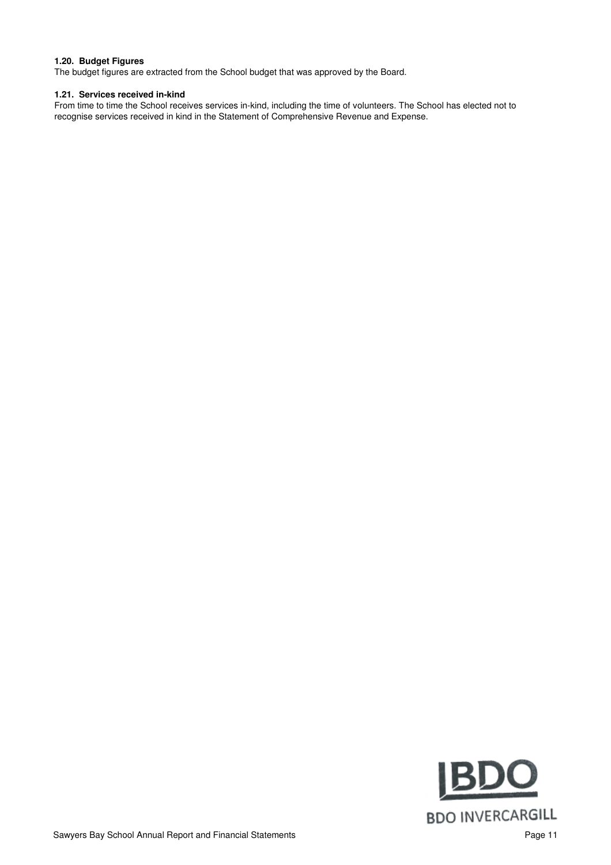#### **1.20. Budget Figures**

The budget figures are extracted from the School budget that was approved by the Board.

#### **1.21. Services received in-kind**

From time to time the School receives services in-kind, including the time of volunteers. The School has elected not to recognise services received in kind in the Statement of Comprehensive Revenue and Expense.

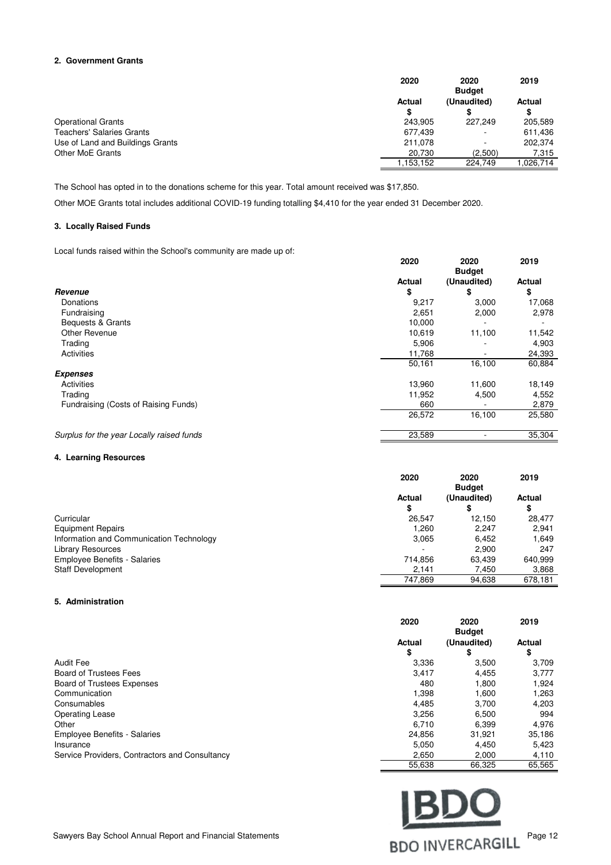#### **2. Government Grants**

|                                  | 2020          | 2020                         | 2019      |
|----------------------------------|---------------|------------------------------|-----------|
|                                  | <b>Actual</b> | <b>Budget</b><br>(Unaudited) | Actual    |
|                                  | \$.           |                              | \$        |
| <b>Operational Grants</b>        | 243.905       | 227.249                      | 205,589   |
| <b>Teachers' Salaries Grants</b> | 677,439       |                              | 611,436   |
| Use of Land and Buildings Grants | 211.078       | ٠                            | 202.374   |
| Other MoE Grants                 | 20.730        | (2,500)                      | 7,315     |
|                                  | .153.152      | 224.749                      | 1.026.714 |

The School has opted in to the donations scheme for this year. Total amount received was \$17,850.

Other MOE Grants total includes additional COVID-19 funding totalling \$4,410 for the year ended 31 December 2020.

#### **3. Locally Raised Funds**

Local funds raised within the School's community are made up of:

|                                           | 2020   | 2020<br><b>Budget</b> | 2019   |
|-------------------------------------------|--------|-----------------------|--------|
|                                           | Actual | (Unaudited)           | Actual |
| Revenue                                   | \$     | \$                    | \$     |
| Donations                                 | 9,217  | 3,000                 | 17,068 |
| Fundraising                               | 2,651  | 2,000                 | 2,978  |
| Bequests & Grants                         | 10,000 |                       |        |
| Other Revenue                             | 10.619 | 11,100                | 11,542 |
| Trading                                   | 5,906  |                       | 4,903  |
| Activities                                | 11,768 | ۰                     | 24,393 |
|                                           | 50,161 | 16,100                | 60,884 |
| <b>Expenses</b>                           |        |                       |        |
| Activities                                | 13,960 | 11,600                | 18,149 |
| Trading                                   | 11,952 | 4,500                 | 4,552  |
| Fundraising (Costs of Raising Funds)      | 660    |                       | 2,879  |
|                                           | 26,572 | 16,100                | 25,580 |
| Surplus for the year Locally raised funds | 23,589 |                       | 35,304 |

#### **4. Learning Resources**

|                                          | 2020         | 2020                         | 2019    |
|------------------------------------------|--------------|------------------------------|---------|
|                                          | Actual<br>\$ | <b>Budget</b><br>(Unaudited) | Actual  |
| Curricular                               | 26.547       | 12.150                       | 28.477  |
| <b>Equipment Repairs</b>                 | 1.260        | 2.247                        | 2,941   |
| Information and Communication Technology | 3,065        | 6.452                        | 1,649   |
| <b>Library Resources</b>                 |              | 2,900                        | 247     |
| <b>Employee Benefits - Salaries</b>      | 714,856      | 63,439                       | 640,999 |
| <b>Staff Development</b>                 | 2,141        | 7,450                        | 3,868   |
|                                          | 747,869      | 94,638                       | 678,181 |

#### **5. Administration**

|                                                | 2020                | 2020<br><b>Budget</b> | 2019         |
|------------------------------------------------|---------------------|-----------------------|--------------|
|                                                | <b>Actual</b><br>\$ | (Unaudited)<br>\$     | Actual<br>\$ |
| <b>Audit Fee</b>                               | 3,336               | 3,500                 | 3.709        |
| <b>Board of Trustees Fees</b>                  | 3,417               | 4,455                 | 3,777        |
| <b>Board of Trustees Expenses</b>              | 480                 | 1.800                 | 1,924        |
| Communication                                  | 1,398               | 1,600                 | 1,263        |
| Consumables                                    | 4,485               | 3.700                 | 4,203        |
| <b>Operating Lease</b>                         | 3,256               | 6,500                 | 994          |
| Other                                          | 6.710               | 6.399                 | 4,976        |
| <b>Employee Benefits - Salaries</b>            | 24,856              | 31.921                | 35,186       |
| Insurance                                      | 5,050               | 4.450                 | 5,423        |
| Service Providers, Contractors and Consultancy | 2,650               | 2,000                 | 4,110        |
|                                                | 55,638              | 66,325                | 65,565       |

BDO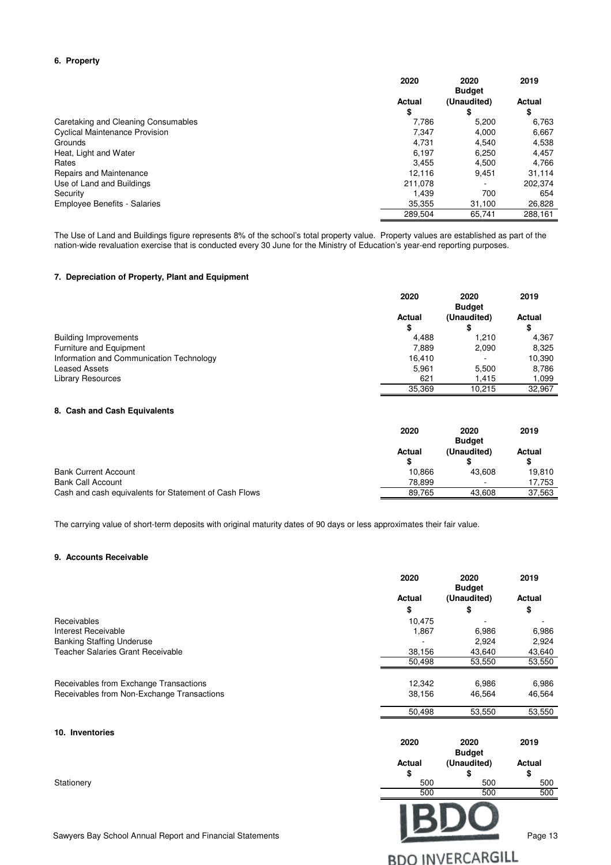#### **6. Property**

|                                       | 2020                | 2020<br><b>Budget</b> | 2019         |
|---------------------------------------|---------------------|-----------------------|--------------|
|                                       | <b>Actual</b><br>\$ | (Unaudited)<br>\$     | Actual<br>\$ |
| Caretaking and Cleaning Consumables   | 7.786               | 5.200                 | 6,763        |
| <b>Cyclical Maintenance Provision</b> | 7,347               | 4,000                 | 6,667        |
| Grounds                               | 4.731               | 4.540                 | 4,538        |
| Heat, Light and Water                 | 6.197               | 6.250                 | 4.457        |
| Rates                                 | 3.455               | 4.500                 | 4.766        |
| Repairs and Maintenance               | 12.116              | 9.451                 | 31,114       |
| Use of Land and Buildings             | 211.078             | ۰                     | 202.374      |
| Security                              | 1.439               | 700                   | 654          |
| <b>Employee Benefits - Salaries</b>   | 35.355              | 31,100                | 26,828       |
|                                       | 289.504             | 65,741                | 288,161      |

The Use of Land and Buildings figure represents 8% of the school's total property value. Property values are established as part of the nation-wide revaluation exercise that is conducted every 30 June for the Ministry of Education's year-end reporting purposes.

#### **7. Depreciation of Property, Plant and Equipment**

|                                          | 2020                | 2020<br><b>Budget</b> | 2019                |
|------------------------------------------|---------------------|-----------------------|---------------------|
|                                          | <b>Actual</b><br>\$ | (Unaudited)           | <b>Actual</b><br>\$ |
| <b>Building Improvements</b>             | 4.488               | 1.210                 | 4,367               |
| Furniture and Equipment                  | 7.889               | 2,090                 | 8,325               |
| Information and Communication Technology | 16.410              |                       | 10,390              |
| <b>Leased Assets</b>                     | 5.961               | 5,500                 | 8,786               |
| <b>Library Resources</b>                 | 621                 | 1.415                 | 1,099               |
|                                          | 35,369              | 10.215                | 32,967              |

#### **8. Cash and Cash Equivalents**

|                                                       | 2020   | 2020<br><b>Budget</b> | 2019          |
|-------------------------------------------------------|--------|-----------------------|---------------|
|                                                       | Actual | (Unaudited)           | <b>Actual</b> |
|                                                       |        |                       | \$            |
| <b>Bank Current Account</b>                           | 10.866 | 43.608                | 19.810        |
| <b>Bank Call Account</b>                              | 78.899 | ۰                     | 17.753        |
| Cash and cash equivalents for Statement of Cash Flows | 89.765 | 43.608                | 37,563        |

The carrying value of short-term deposits with original maturity dates of 90 days or less approximates their fair value.

#### **9. Accounts Receivable**

|                                            | 2020   | 2020<br><b>Budget</b> | 2019   |
|--------------------------------------------|--------|-----------------------|--------|
|                                            | Actual | (Unaudited)           | Actual |
|                                            | \$     | \$                    | \$     |
| Receivables                                | 10,475 |                       |        |
| Interest Receivable                        | 1,867  | 6,986                 | 6,986  |
| <b>Banking Staffing Underuse</b>           |        | 2,924                 | 2,924  |
| <b>Teacher Salaries Grant Receivable</b>   | 38,156 | 43,640                | 43,640 |
|                                            | 50,498 | 53,550                | 53,550 |
|                                            |        |                       |        |
| Receivables from Exchange Transactions     | 12,342 | 6,986                 | 6,986  |
| Receivables from Non-Exchange Transactions | 38,156 | 46,564                | 46,564 |
|                                            | 50,498 | 53,550                | 53,550 |
| 10. Inventories                            |        |                       |        |
|                                            | 2020   | 2020<br><b>Budget</b> | 2019   |
|                                            | Actual | (Unaudited)           | Actual |
|                                            | \$     | \$                    | \$     |
| Stationery                                 | 500    | 500                   | 500    |
|                                            | 500    | 500                   | 500    |
|                                            |        |                       |        |

**BDO INVERCARGILL** 

Sawyers Bay School Annual Report and Financial Statements Page 13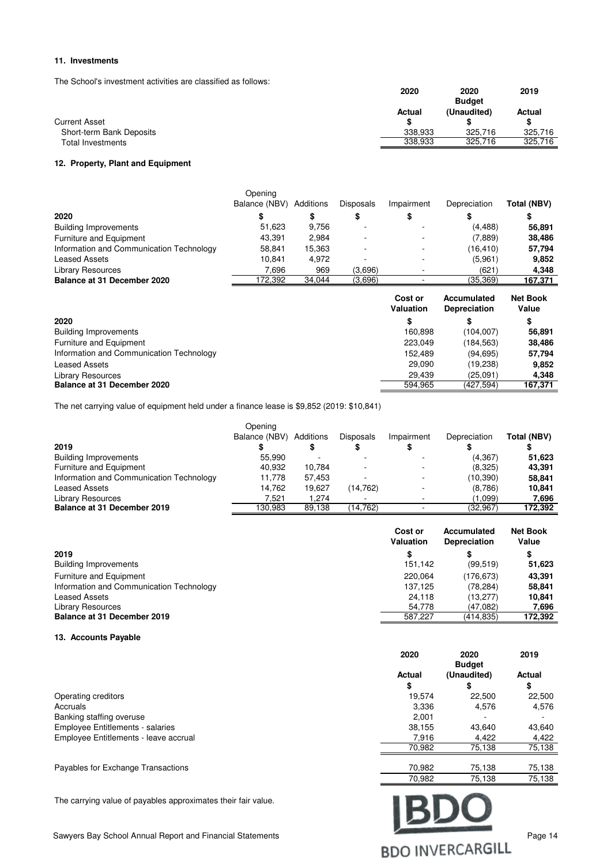#### **11. Investments**

The School's investment activities are classified as follows:

|                          | 2020    | 2020<br><b>Budget</b> | 2019    |
|--------------------------|---------|-----------------------|---------|
|                          | Actual  | (Unaudited)           | Actual  |
| <b>Current Asset</b>     |         |                       |         |
| Short-term Bank Deposits | 338.933 | 325.716               | 325.716 |
| Total Investments        | 338.933 | 325.716               | 325.716 |

#### **12. Property, Plant and Equipment**

|                                          | Opening<br>Balance (NBV) | Additions | <b>Disposals</b> | Impairment | Depreciation | Total (NBV) |
|------------------------------------------|--------------------------|-----------|------------------|------------|--------------|-------------|
| 2020                                     | \$                       | \$        |                  |            | S            |             |
| <b>Building Improvements</b>             | 51.623                   | 9.756     |                  |            | (4, 488)     | 56,891      |
| Furniture and Equipment                  | 43.391                   | 2.984     |                  |            | (7,889)      | 38,486      |
| Information and Communication Technology | 58.841                   | 15.363    | ٠                |            | (16, 410)    | 57,794      |
| <b>Leased Assets</b>                     | 10.841                   | 4,972     |                  |            | (5,961)      | 9,852       |
| <b>Library Resources</b>                 | 7.696                    | 969       | (3,696)          |            | (621)        | 4,348       |
| Balance at 31 December 2020              | 172,392                  | 34,044    | (3,696)          |            | (35, 369)    | 167,371     |
|                                          |                          |           |                  |            |              |             |

|                                          | Cost or<br>Valuation | Accumulated<br><b>Depreciation</b> | <b>Net Book</b><br>Value |
|------------------------------------------|----------------------|------------------------------------|--------------------------|
| 2020                                     | \$                   |                                    | \$                       |
| <b>Building Improvements</b>             | 160.898              | (104.007)                          | 56,891                   |
| Furniture and Equipment                  | 223.049              | (184, 563)                         | 38.486                   |
| Information and Communication Technology | 152.489              | (94, 695)                          | 57.794                   |
| <b>Leased Assets</b>                     | 29.090               | (19,238)                           | 9,852                    |
| <b>Library Resources</b>                 | 29.439               | (25.091)                           | 4.348                    |
| Balance at 31 December 2020              | 594.965              | (427.594)                          | 167,371                  |

The net carrying value of equipment held under a finance lease is \$9,852 (2019: \$10,841)

| 2019                                     | Opening<br>Balance (NBV) | Additions | <b>Disposals</b> | Impairment | Depreciation | Total (NBV) |
|------------------------------------------|--------------------------|-----------|------------------|------------|--------------|-------------|
| <b>Building Improvements</b>             | 55.990                   |           |                  |            | (4, 367)     | 51,623      |
| Furniture and Equipment                  | 40.932                   | 10.784    |                  |            | (8,325)      | 43,391      |
| Information and Communication Technology | 11.778                   | 57.453    |                  |            | (10, 390)    | 58.841      |
| <b>Leased Assets</b>                     | 14.762                   | 19.627    | (14, 762)        |            | (8,786)      | 10,841      |
| <b>Library Resources</b>                 | 7.521                    | 1.274     |                  |            | (1,099)      | 7.696       |
| Balance at 31 December 2019              | 130.983                  | 89,138    | (14.762)         |            | (32,967)     | 172.392     |

|                                          | Cost or<br>Valuation | Accumulated<br><b>Depreciation</b> | <b>Net Book</b><br>Value |
|------------------------------------------|----------------------|------------------------------------|--------------------------|
| 2019                                     | \$                   |                                    | \$                       |
| <b>Building Improvements</b>             | 151,142              | (99, 519)                          | 51,623                   |
| Furniture and Equipment                  | 220.064              | (176, 673)                         | 43.391                   |
| Information and Communication Technology | 137.125              | (78.284)                           | 58.841                   |
| <b>Leased Assets</b>                     | 24.118               | (13.277)                           | 10.841                   |
| <b>Library Resources</b>                 | 54.778               | (47.082)                           | 7.696                    |
| Balance at 31 December 2019              | 587.227              | (414.835)                          | 172,392                  |

#### **13. Accounts Payable**

|                                         | 2020          | 2020<br><b>Budget</b> | 2019   |
|-----------------------------------------|---------------|-----------------------|--------|
|                                         | <b>Actual</b> | (Unaudited)           | Actual |
|                                         | \$            | Φ                     | \$     |
| Operating creditors                     | 19.574        | 22.500                | 22,500 |
| Accruals                                | 3,336         | 4,576                 | 4,576  |
| Banking staffing overuse                | 2.001         |                       |        |
| <b>Employee Entitlements - salaries</b> | 38,155        | 43.640                | 43,640 |
| Employee Entitlements - leave accrual   | 7,916         | 4.422                 | 4,422  |
|                                         | 70,982        | 75,138                | 75,138 |
| Payables for Exchange Transactions      | 70.982        | 75.138                | 75,138 |

The carrying value of payables approximates their fair value.

Sawyers Bay School Annual Report and Financial Statements Page 14<br>
BDO INVERCARGILL

75,138 70,982 75,138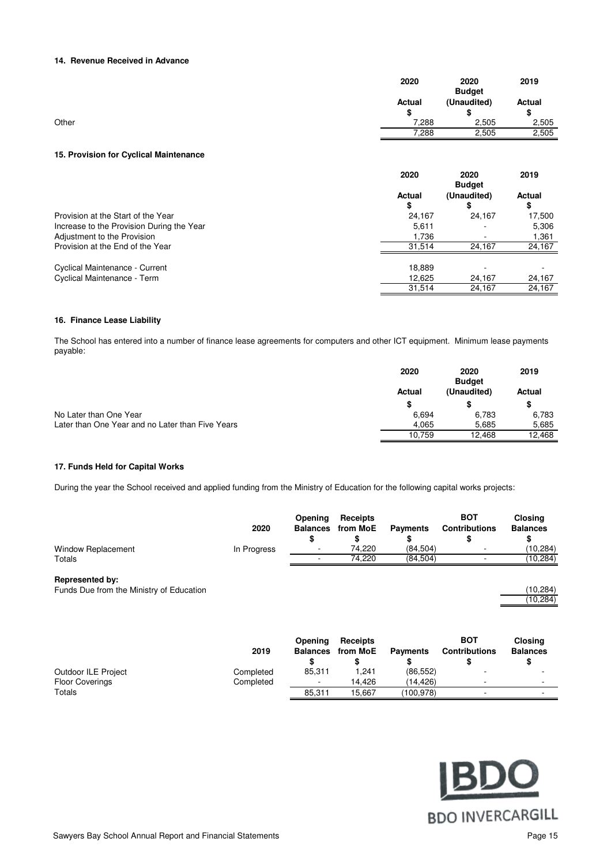#### **14. Revenue Received in Advance**

|       | 2020         | 2020<br><b>Budget</b> | 2019         |
|-------|--------------|-----------------------|--------------|
|       | Actual<br>\$ | (Unaudited)<br>œ<br>æ | Actual<br>\$ |
| Other | 7,288        | 2,505                 | 2,505        |
|       | 7,288        | 2,505                 | 2,505        |

#### **15. Provision for Cyclical Maintenance**

|                                           | 2020          | 2020<br><b>Budget</b> | 2019   |
|-------------------------------------------|---------------|-----------------------|--------|
|                                           | <b>Actual</b> | (Unaudited)           | Actual |
|                                           | \$            | \$                    | \$     |
| Provision at the Start of the Year        | 24,167        | 24.167                | 17,500 |
| Increase to the Provision During the Year | 5,611         |                       | 5,306  |
| Adjustment to the Provision               | 1.736         |                       | 1,361  |
| Provision at the End of the Year          | 31.514        | 24,167                | 24,167 |
| Cyclical Maintenance - Current            | 18,889        |                       |        |
| Cyclical Maintenance - Term               | 12,625        | 24,167                | 24,167 |
|                                           | 31.514        | 24.167                | 24,167 |

#### **16. Finance Lease Liability**

The School has entered into a number of finance lease agreements for computers and other ICT equipment. Minimum lease payments payable:

|                                                  | 2020   | 2020<br><b>Budget</b> | 2019   |
|--------------------------------------------------|--------|-----------------------|--------|
|                                                  | Actual | (Unaudited)           | Actual |
|                                                  |        |                       |        |
| No Later than One Year                           | 6.694  | 6,783                 | 6.783  |
| Later than One Year and no Later than Five Years | 4.065  | 5.685                 | 5,685  |
|                                                  | 10.759 | 12.468                | 12.468 |

#### **17. Funds Held for Capital Works**

During the year the School received and applied funding from the Ministry of Education for the following capital works projects:

|                        | 2020        | Opening<br><b>Balances</b><br>\$ | Receipts<br>from MoE | <b>Payments</b> | <b>BOT</b><br><b>Contributions</b> | <b>Closing</b><br><b>Balances</b> |
|------------------------|-------------|----------------------------------|----------------------|-----------------|------------------------------------|-----------------------------------|
| Window Replacement     | In Progress | ۰                                | 74.220               | (84.504)        | ۰                                  | (10,284)                          |
| Totals                 |             |                                  | 74.220               | (84, 504)       |                                    | (10,284)                          |
| <b>Represented by:</b> |             |                                  |                      |                 |                                    |                                   |

#### Funds Due from the Ministry of Education

|                        | 2019      | Openina<br><b>Balances</b> | Receipts<br>from MoE | <b>Payments</b> | <b>BOT</b><br><b>Contributions</b> | <b>Closing</b><br><b>Balances</b> |
|------------------------|-----------|----------------------------|----------------------|-----------------|------------------------------------|-----------------------------------|
| Outdoor ILE Project    | Completed | 85.311                     | 1.241                | (86, 552)       |                                    |                                   |
| <b>Floor Coverings</b> | Completed | $\overline{\phantom{a}}$   | 14.426               | (14.426)        | ۰                                  |                                   |
| Totals                 |           | 85.311                     | 15.667               | (100.978)       | ۰                                  |                                   |



 $\frac{(10,284)}{(10,284)}$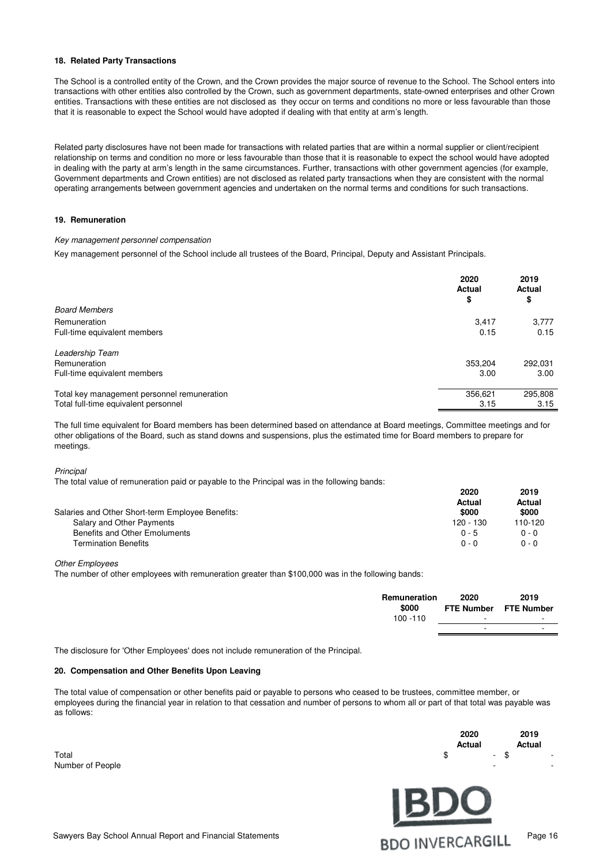#### **18. Related Party Transactions**

The School is a controlled entity of the Crown, and the Crown provides the major source of revenue to the School. The School enters into transactions with other entities also controlled by the Crown, such as government departments, state-owned enterprises and other Crown entities. Transactions with these entities are not disclosed as they occur on terms and conditions no more or less favourable than those that it is reasonable to expect the School would have adopted if dealing with that entity at arm's length.

Related party disclosures have not been made for transactions with related parties that are within a normal supplier or client/recipient relationship on terms and condition no more or less favourable than those that it is reasonable to expect the school would have adopted in dealing with the party at arm's length in the same circumstances. Further, transactions with other government agencies (for example, Government departments and Crown entities) are not disclosed as related party transactions when they are consistent with the normal operating arrangements between government agencies and undertaken on the normal terms and conditions for such transactions.

#### **19. Remuneration**

#### Key management personnel compensation

Key management personnel of the School include all trustees of the Board, Principal, Deputy and Assistant Principals.

|                                             | 2020<br><b>Actual</b><br>\$ | 2019<br><b>Actual</b><br>\$ |
|---------------------------------------------|-----------------------------|-----------------------------|
| <b>Board Members</b>                        |                             |                             |
| Remuneration                                | 3,417                       | 3,777                       |
| Full-time equivalent members                | 0.15                        | 0.15                        |
| Leadership Team                             |                             |                             |
| Remuneration                                | 353,204                     | 292,031                     |
| Full-time equivalent members                | 3.00                        | 3.00                        |
| Total key management personnel remuneration | 356,621                     | 295,808                     |
| Total full-time equivalent personnel        | 3.15                        | 3.15                        |

The full time equivalent for Board members has been determined based on attendance at Board meetings, Committee meetings and for other obligations of the Board, such as stand downs and suspensions, plus the estimated time for Board members to prepare for meetings.

**Principal** 

The total value of remuneration paid or payable to the Principal was in the following bands:

| Salaries and Other Short-term Employee Benefits: | 2020<br>Actual<br>\$000 | 2019<br>Actual<br>\$000 |
|--------------------------------------------------|-------------------------|-------------------------|
| Salary and Other Payments                        | $120 - 130$             | 110-120                 |
| Benefits and Other Emoluments                    | $0 - 5$                 | $0 - 0$                 |
| <b>Termination Benefits</b>                      | $0 - 0$                 | $0 - 0$                 |

Other Employees

The number of other employees with remuneration greater than \$100,000 was in the following bands:

| Remuneration<br>\$000 | 2020   | 2019<br>FTE Number FTE Number |
|-----------------------|--------|-------------------------------|
| $100 - 110$           | $\sim$ | <b>м.</b>                     |
|                       |        |                               |

The disclosure for 'Other Employees' does not include remuneration of the Principal.

#### **20. Compensation and Other Benefits Upon Leaving**

The total value of compensation or other benefits paid or payable to persons who ceased to be trustees, committee member, or employees during the financial year in relation to that cessation and number of persons to whom all or part of that total was payable was as follows:

Number of People

|                  | 2020<br>Actual                                | 2019<br>Actual |
|------------------|-----------------------------------------------|----------------|
| Total            | $\texttt{\$}$ - $\texttt{\$}$ - $\texttt{\$}$ |                |
| Number of Doople |                                               |                |

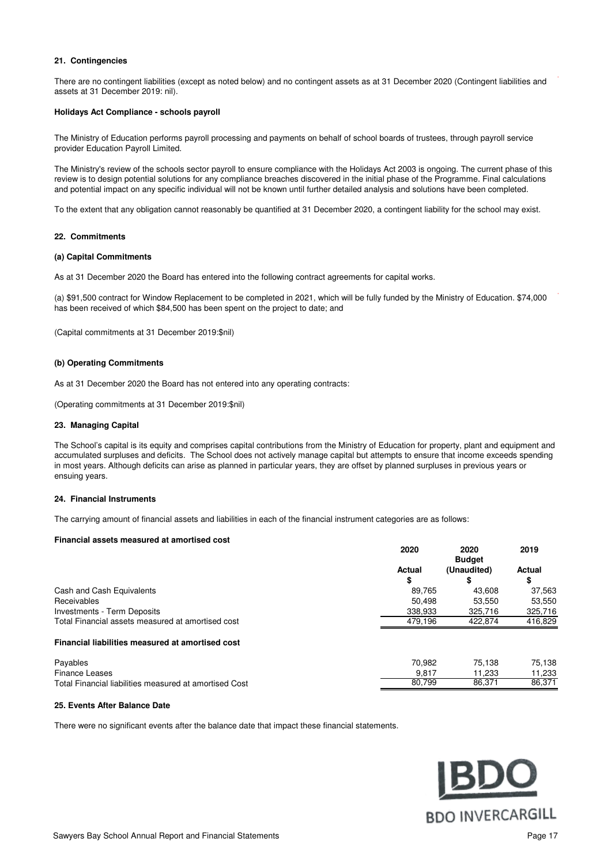#### **21. Contingencies**

There are no contingent liabilities (except as noted below) and no contingent assets as at 31 December 2020 (Contingent liabilities and assets at 31 December 2019: nil).

#### **Holidays Act Compliance - schools payroll**

The Ministry of Education performs payroll processing and payments on behalf of school boards of trustees, through payroll service provider Education Payroll Limited.

The Ministry's review of the schools sector payroll to ensure compliance with the Holidays Act 2003 is ongoing. The current phase of this review is to design potential solutions for any compliance breaches discovered in the initial phase of the Programme. Final calculations and potential impact on any specific individual will not be known until further detailed analysis and solutions have been completed.

To the extent that any obligation cannot reasonably be quantified at 31 December 2020, a contingent liability for the school may exist.

#### **22. Commitments**

#### **(a) Capital Commitments**

As at 31 December 2020 the Board has entered into the following contract agreements for capital works.

(a) \$91,500 contract for Window Replacement to be completed in 2021, which will be fully funded by the Ministry of Education. \$74,000 has been received of which \$84,500 has been spent on the project to date; and

(Capital commitments at 31 December 2019:\$nil)

#### **(b) Operating Commitments**

As at 31 December 2020 the Board has not entered into any operating contracts:

(Operating commitments at 31 December 2019:\$nil)

#### **23. Managing Capital**

The School's capital is its equity and comprises capital contributions from the Ministry of Education for property, plant and equipment and accumulated surpluses and deficits. The School does not actively manage capital but attempts to ensure that income exceeds spending in most years. Although deficits can arise as planned in particular years, they are offset by planned surpluses in previous years or ensuing years.

#### **24. Financial Instruments**

The carrying amount of financial assets and liabilities in each of the financial instrument categories are as follows:

#### **Financial assets measured at amortised cost**

|                                                   | 2020          | 2020          | 2019    |
|---------------------------------------------------|---------------|---------------|---------|
|                                                   |               | <b>Budget</b> |         |
|                                                   | <b>Actual</b> | (Unaudited)   | Actual  |
|                                                   | S             |               | \$      |
| Cash and Cash Equivalents                         | 89.765        | 43.608        | 37,563  |
| Receivables                                       | 50.498        | 53.550        | 53,550  |
| Investments - Term Deposits                       | 338,933       | 325.716       | 325,716 |
| Total Financial assets measured at amortised cost | 479.196       | 422.874       | 416,829 |
| Financial liabilities measured at amortised cost  |               |               |         |

| Payables                                               | 70.982 | 75.138 | 75,138 |
|--------------------------------------------------------|--------|--------|--------|
| Finance Leases                                         | 9.81   | .233   | .233   |
| Total Financial liabilities measured at amortised Cost | 80.799 | 86.371 | 86.371 |

#### **25. Events After Balance Date**

There were no significant events after the balance date that impact these financial statements.

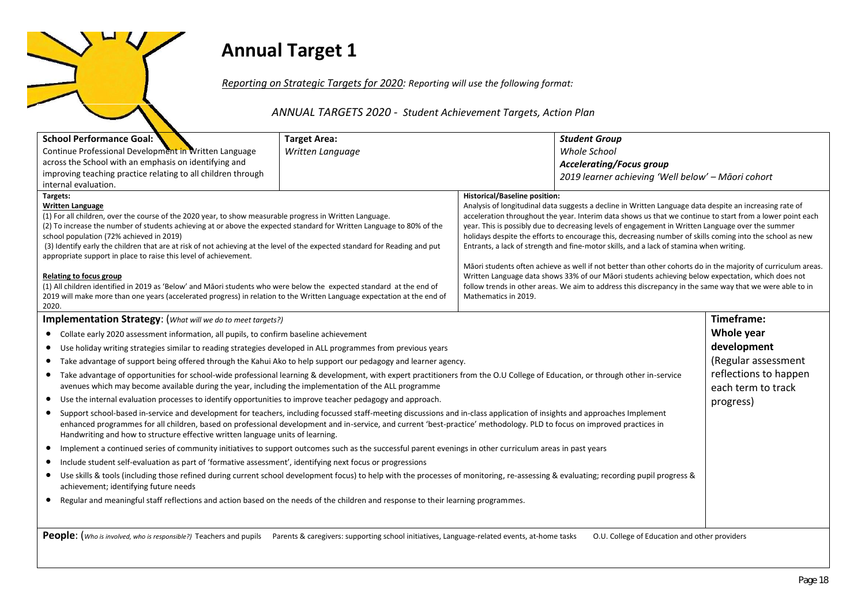## **Annual Target 1**

*Reporting on Strategic Targets for 2020: Reporting will use the following format:*

*ANNUAL TARGETS 2020 - Student Achievement Targets, Action Plan*

| <b>School Performance Goal:</b>                                                                                                                                                                                                            | <b>Target Area:</b> |                                      | <b>Student Group</b>                                                                                          |                       |
|--------------------------------------------------------------------------------------------------------------------------------------------------------------------------------------------------------------------------------------------|---------------------|--------------------------------------|---------------------------------------------------------------------------------------------------------------|-----------------------|
| Continue Professional Development in Written Language                                                                                                                                                                                      | Written Language    |                                      | <b>Whole School</b>                                                                                           |                       |
| across the School with an emphasis on identifying and                                                                                                                                                                                      |                     |                                      | <b>Accelerating/Focus group</b>                                                                               |                       |
| improving teaching practice relating to all children through<br>internal evaluation.                                                                                                                                                       |                     |                                      | 2019 learner achieving 'Well below' - Māori cohort                                                            |                       |
| Targets:                                                                                                                                                                                                                                   |                     | <b>Historical/Baseline position:</b> |                                                                                                               |                       |
| Written Language                                                                                                                                                                                                                           |                     |                                      | Analysis of longitudinal data suggests a decline in Written Language data despite an increasing rate of       |                       |
| (1) For all children, over the course of the 2020 year, to show measurable progress in Written Language.                                                                                                                                   |                     |                                      | acceleration throughout the year. Interim data shows us that we continue to start from a lower point each     |                       |
| (2) To increase the number of students achieving at or above the expected standard for Written Language to 80% of the                                                                                                                      |                     |                                      | year. This is possibly due to decreasing levels of engagement in Written Language over the summer             |                       |
| school population (72% achieved in 2019)                                                                                                                                                                                                   |                     |                                      | holidays despite the efforts to encourage this, decreasing number of skills coming into the school as new     |                       |
| (3) Identify early the children that are at risk of not achieving at the level of the expected standard for Reading and put                                                                                                                |                     |                                      | Entrants, a lack of strength and fine-motor skills, and a lack of stamina when writing.                       |                       |
| appropriate support in place to raise this level of achievement.                                                                                                                                                                           |                     |                                      | Māori students often achieve as well if not better than other cohorts do in the majority of curriculum areas. |                       |
| <b>Relating to focus group</b>                                                                                                                                                                                                             |                     |                                      | Written Language data shows 33% of our Māori students achieving below expectation, which does not             |                       |
| (1) All children identified in 2019 as 'Below' and Māori students who were below the expected standard at the end of                                                                                                                       |                     |                                      | follow trends in other areas. We aim to address this discrepancy in the same way that we were able to in      |                       |
| 2019 will make more than one years (accelerated progress) in relation to the Written Language expectation at the end of                                                                                                                    |                     | Mathematics in 2019.                 |                                                                                                               |                       |
| 2020.                                                                                                                                                                                                                                      |                     |                                      |                                                                                                               |                       |
| Implementation Strategy: (What will we do to meet targets?)                                                                                                                                                                                |                     |                                      |                                                                                                               | Timeframe:            |
| • Collate early 2020 assessment information, all pupils, to confirm baseline achievement                                                                                                                                                   |                     |                                      |                                                                                                               | Whole year            |
| • Use holiday writing strategies similar to reading strategies developed in ALL programmes from previous years                                                                                                                             |                     |                                      |                                                                                                               | development           |
| Take advantage of support being offered through the Kahui Ako to help support our pedagogy and learner agency.<br>$\bullet$                                                                                                                |                     |                                      |                                                                                                               | (Regular assessment   |
| • Take advantage of opportunities for school-wide professional learning & development, with expert practitioners from the O.U College of Education, or through other in-service                                                            |                     |                                      |                                                                                                               | reflections to happen |
| avenues which may become available during the year, including the implementation of the ALL programme                                                                                                                                      |                     |                                      |                                                                                                               | each term to track    |
| Use the internal evaluation processes to identify opportunities to improve teacher pedagogy and approach.<br>$\bullet$                                                                                                                     |                     |                                      |                                                                                                               | progress)             |
| Support school-based in-service and development for teachers, including focussed staff-meeting discussions and in-class application of insights and approaches Implement<br>$\bullet$                                                      |                     |                                      |                                                                                                               |                       |
| enhanced programmes for all children, based on professional development and in-service, and current 'best-practice' methodology. PLD to focus on improved practices in                                                                     |                     |                                      |                                                                                                               |                       |
| Handwriting and how to structure effective written language units of learning.                                                                                                                                                             |                     |                                      |                                                                                                               |                       |
| Implement a continued series of community initiatives to support outcomes such as the successful parent evenings in other curriculum areas in past years<br>$\bullet$                                                                      |                     |                                      |                                                                                                               |                       |
| Include student self-evaluation as part of 'formative assessment', identifying next focus or progressions<br>$\bullet$                                                                                                                     |                     |                                      |                                                                                                               |                       |
| Use skills & tools (including those refined during current school development focus) to help with the processes of monitoring, re-assessing & evaluating; recording pupil progress &<br>$\bullet$<br>achievement; identifying future needs |                     |                                      |                                                                                                               |                       |
| Regular and meaningful staff reflections and action based on the needs of the children and response to their learning programmes.                                                                                                          |                     |                                      |                                                                                                               |                       |
|                                                                                                                                                                                                                                            |                     |                                      |                                                                                                               |                       |
|                                                                                                                                                                                                                                            |                     |                                      |                                                                                                               |                       |
| People: (Who is involved, who is responsible?) Teachers and pupils Parents & caregivers: supporting school initiatives, Language-related events, at-home tasks                                                                             |                     |                                      | O.U. College of Education and other providers                                                                 |                       |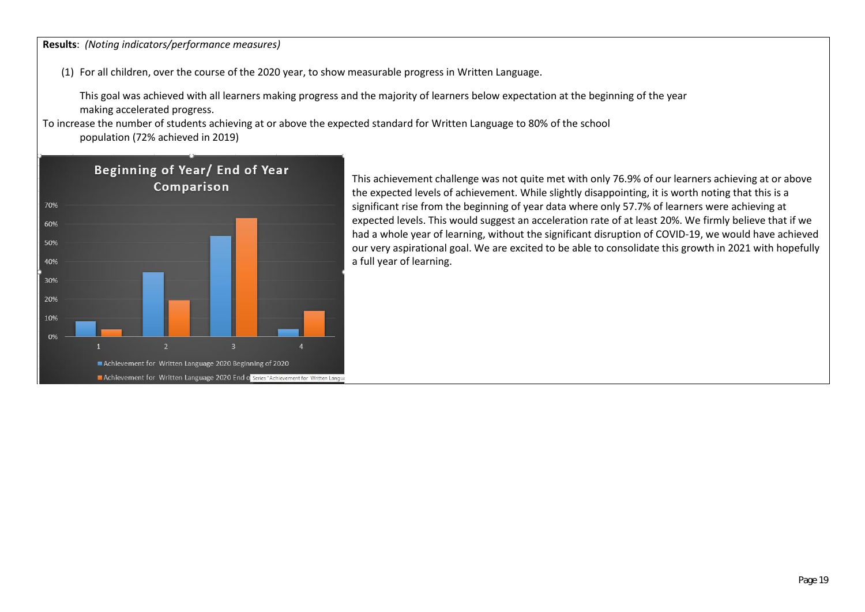**Results**: *(Noting indicators/performance measures)*

(1) For all children, over the course of the 2020 year, to show measurable progress in Written Language.

This goal was achieved with all learners making progress and the majority of learners below expectation at the beginning of the year making accelerated progress.

To increase the number of students achieving at or above the expected standard for Written Language to 80% of the school population (72% achieved in 2019)



This achievement challenge was not quite met with only 76.9% of our learners achieving at or above the expected levels of achievement. While slightly disappointing, it is worth noting that this is a significant rise from the beginning of year data where only 57.7% of learners were achieving at expected levels. This would suggest an acceleration rate of at least 20%. We firmly believe that if we had a whole year of learning, without the significant disruption of COVID-19, we would have achieved our very aspirational goal. We are excited to be able to consolidate this growth in 2021 with hopefully a full year of learning.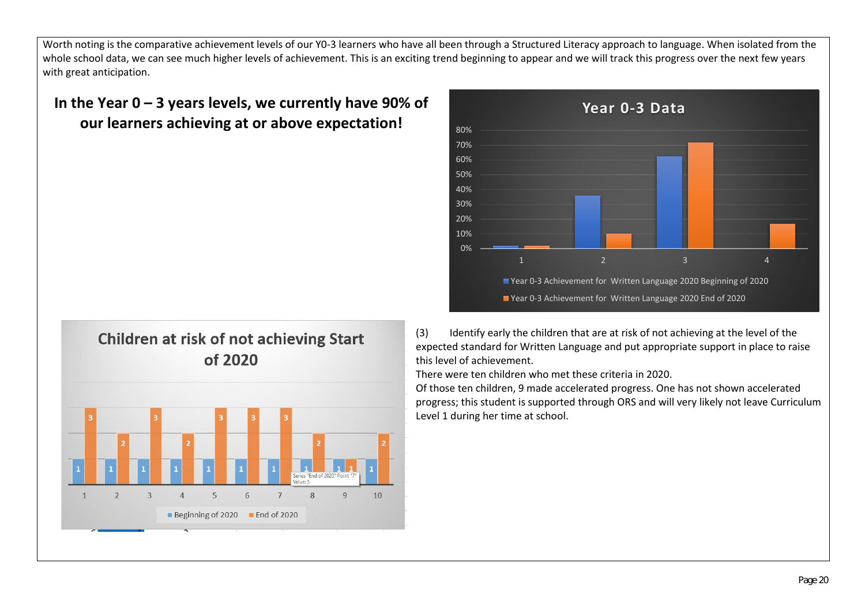Worth noting is the comparative achievement levels of our Y0-3 learners who have all been through a Structured Literacy approach to language. When isolated from the whole school data, we can see much higher levels of achievement. This is an exciting trend beginning to appear and we will track this progress over the next few years with great anticipation.

## **In the Year 0 – 3 years levels, we currently have 90% of our learners achieving at or above expectation!**





(3) Identify early the children that are at risk of not achieving at the level of the expected standard for Written Language and put appropriate support in place to raise this level of achievement.

There were ten children who met these criteria in 2020.

Of those ten children, 9 made accelerated progress. One has not shown accelerated progress; this student is supported through ORS and will very likely not leave Curriculum Level 1 during her time at school.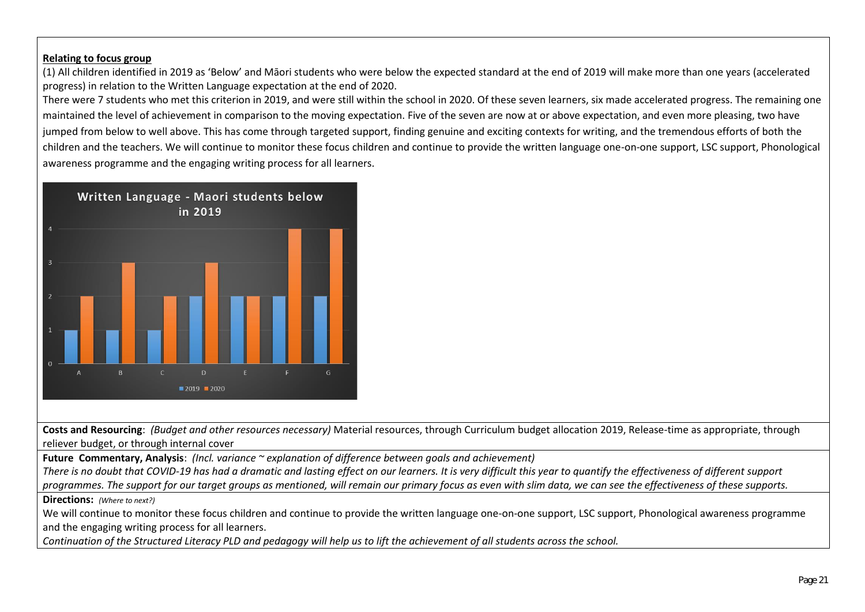#### **Relating to focus group**

(1) All children identified in 2019 as 'Below' and Māori students who were below the expected standard at the end of 2019 will make more than one years (accelerated progress) in relation to the Written Language expectation at the end of 2020.

There were 7 students who met this criterion in 2019, and were still within the school in 2020. Of these seven learners, six made accelerated progress. The remaining one maintained the level of achievement in comparison to the moving expectation. Five of the seven are now at or above expectation, and even more pleasing, two have jumped from below to well above. This has come through targeted support, finding genuine and exciting contexts for writing, and the tremendous efforts of both the children and the teachers. We will continue to monitor these focus children and continue to provide the written language one-on-one support, LSC support, Phonological awareness programme and the engaging writing process for all learners.



**Costs and Resourcing**: *(Budget and other resources necessary)* Material resources, through Curriculum budget allocation 2019, Release-time as appropriate, through reliever budget, or through internal cover

**Future Commentary, Analysis**: *(Incl. variance ~ explanation of difference between goals and achievement)*

*There is no doubt that COVID-19 has had a dramatic and lasting effect on our learners. It is very difficult this year to quantify the effectiveness of different support* 

*programmes. The support for our target groups as mentioned, will remain our primary focus as even with slim data, we can see the effectiveness of these supports.*

**Directions:** *(Where to next?)*

We will continue to monitor these focus children and continue to provide the written language one-on-one support, LSC support, Phonological awareness programme and the engaging writing process for all learners.

*Continuation of the Structured Literacy PLD and pedagogy will help us to lift the achievement of all students across the school.*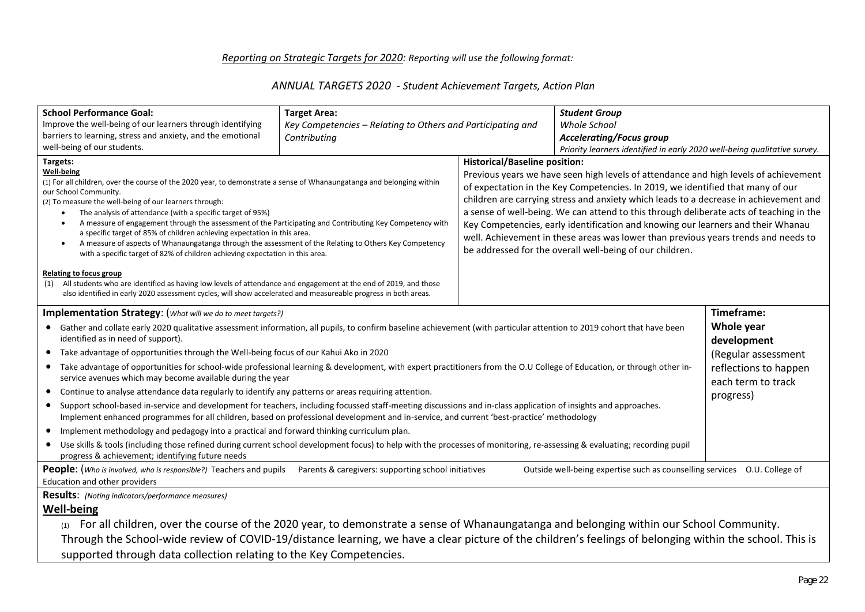#### *Reporting on Strategic Targets for 2020: Reporting will use the following format:*

#### *ANNUAL TARGETS 2020 - Student Achievement Targets, Action Plan*

| <b>School Performance Goal:</b>                                                                                                                                                                                | <b>Target Area:</b>                                         |                                      | <b>Student Group</b>                                                                                                                                                    |                       |
|----------------------------------------------------------------------------------------------------------------------------------------------------------------------------------------------------------------|-------------------------------------------------------------|--------------------------------------|-------------------------------------------------------------------------------------------------------------------------------------------------------------------------|-----------------------|
| Improve the well-being of our learners through identifying                                                                                                                                                     | Key Competencies - Relating to Others and Participating and |                                      | Whole School                                                                                                                                                            |                       |
| barriers to learning, stress and anxiety, and the emotional                                                                                                                                                    | Contributing                                                |                                      | <b>Accelerating/Focus group</b>                                                                                                                                         |                       |
| well-being of our students.                                                                                                                                                                                    |                                                             |                                      | Priority learners identified in early 2020 well-being qualitative survey.                                                                                               |                       |
| Targets:                                                                                                                                                                                                       |                                                             | <b>Historical/Baseline position:</b> |                                                                                                                                                                         |                       |
| <b>Well-being</b><br>(1) For all children, over the course of the 2020 year, to demonstrate a sense of Whanaungatanga and belonging within<br>our School Community.                                            |                                                             |                                      | Previous years we have seen high levels of attendance and high levels of achievement<br>of expectation in the Key Competencies. In 2019, we identified that many of our |                       |
| (2) To measure the well-being of our learners through:                                                                                                                                                         |                                                             |                                      | children are carrying stress and anxiety which leads to a decrease in achievement and                                                                                   |                       |
| The analysis of attendance (with a specific target of 95%)                                                                                                                                                     |                                                             |                                      | a sense of well-being. We can attend to this through deliberate acts of teaching in the                                                                                 |                       |
| A measure of engagement through the assessment of the Participating and Contributing Key Competency with<br>$\bullet$<br>a specific target of 85% of children achieving expectation in this area.              |                                                             |                                      | Key Competencies, early identification and knowing our learners and their Whanau                                                                                        |                       |
| A measure of aspects of Whanaungatanga through the assessment of the Relating to Others Key Competency<br>$\bullet$                                                                                            |                                                             |                                      | well. Achievement in these areas was lower than previous years trends and needs to                                                                                      |                       |
| with a specific target of 82% of children achieving expectation in this area.                                                                                                                                  |                                                             |                                      | be addressed for the overall well-being of our children.                                                                                                                |                       |
|                                                                                                                                                                                                                |                                                             |                                      |                                                                                                                                                                         |                       |
| Relating to focus group<br>All students who are identified as having low levels of attendance and engagement at the end of 2019, and those<br>(1)                                                              |                                                             |                                      |                                                                                                                                                                         |                       |
| also identified in early 2020 assessment cycles, will show accelerated and measureable progress in both areas.                                                                                                 |                                                             |                                      |                                                                                                                                                                         |                       |
| <b>Implementation Strategy:</b> (What will we do to meet targets?)                                                                                                                                             |                                                             |                                      |                                                                                                                                                                         | Timeframe:            |
|                                                                                                                                                                                                                |                                                             |                                      |                                                                                                                                                                         | Whole year            |
| • Gather and collate early 2020 qualitative assessment information, all pupils, to confirm baseline achievement (with particular attention to 2019 cohort that have been<br>identified as in need of support). |                                                             |                                      |                                                                                                                                                                         | development           |
| • Take advantage of opportunities through the Well-being focus of our Kahui Ako in 2020                                                                                                                        |                                                             |                                      |                                                                                                                                                                         |                       |
| • Take advantage of opportunities for school-wide professional learning & development, with expert practitioners from the O.U College of Education, or through other in-                                       |                                                             |                                      |                                                                                                                                                                         | (Regular assessment   |
| service avenues which may become available during the year                                                                                                                                                     |                                                             |                                      |                                                                                                                                                                         | reflections to happen |
| • Continue to analyse attendance data regularly to identify any patterns or areas requiring attention.                                                                                                         |                                                             |                                      |                                                                                                                                                                         | each term to track    |
| • Support school-based in-service and development for teachers, including focussed staff-meeting discussions and in-class application of insights and approaches.                                              |                                                             |                                      |                                                                                                                                                                         | progress)             |
| Implement enhanced programmes for all children, based on professional development and in-service, and current 'best-practice' methodology                                                                      |                                                             |                                      |                                                                                                                                                                         |                       |
| Implement methodology and pedagogy into a practical and forward thinking curriculum plan.<br>$\bullet$                                                                                                         |                                                             |                                      |                                                                                                                                                                         |                       |
| • Use skills & tools (including those refined during current school development focus) to help with the processes of monitoring, re-assessing & evaluating; recording pupil                                    |                                                             |                                      |                                                                                                                                                                         |                       |
| progress & achievement; identifying future needs                                                                                                                                                               |                                                             |                                      |                                                                                                                                                                         |                       |
| People: (Who is involved, who is responsible?) Teachers and pupils Parents & caregivers: supporting school initiatives                                                                                         |                                                             |                                      | Outside well-being expertise such as counselling services  O.U. College of                                                                                              |                       |
| Education and other providers                                                                                                                                                                                  |                                                             |                                      |                                                                                                                                                                         |                       |
| <b>Results:</b> (Noting indicators/performance measures)                                                                                                                                                       |                                                             |                                      |                                                                                                                                                                         |                       |
| <b>Well-being</b>                                                                                                                                                                                              |                                                             |                                      |                                                                                                                                                                         |                       |
| For all children, over the course of the 2020 year, to demonstrate a sense of Whanaungatanga and belonging within our School Community.                                                                        |                                                             |                                      |                                                                                                                                                                         |                       |
| Through the School-wide review of COVID-19/distance learning, we have a clear picture of the children's feelings of belonging within the school. This is                                                       |                                                             |                                      |                                                                                                                                                                         |                       |
| supported through data collection relating to the Key Competencies.                                                                                                                                            |                                                             |                                      |                                                                                                                                                                         |                       |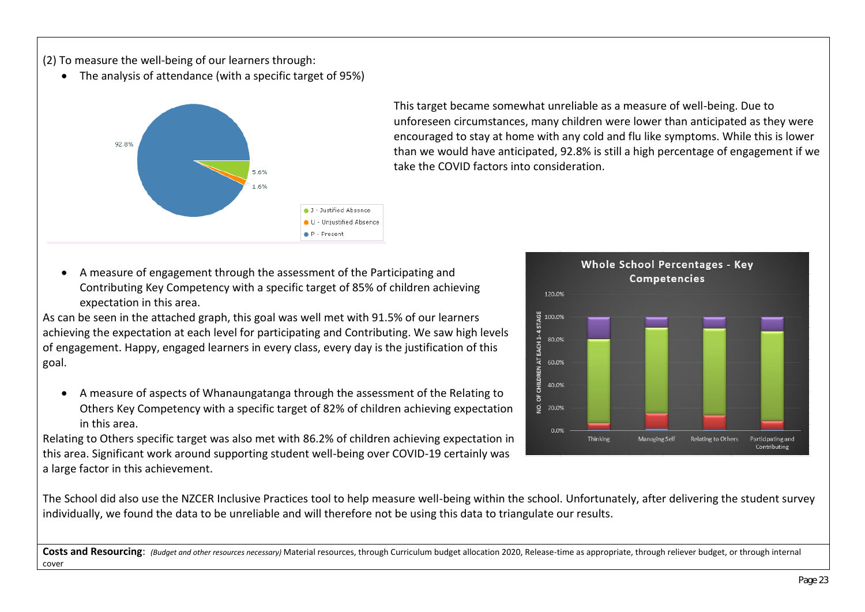(2) To measure the well-being of our learners through:

• The analysis of attendance (with a specific target of 95%)



This target became somewhat unreliable as a measure of well-being. Due to unforeseen circumstances, many children were lower than anticipated as they were encouraged to stay at home with any cold and flu like symptoms. While this is lower than we would have anticipated, 92.8% is still a high percentage of engagement if we take the COVID factors into consideration.

- **Whole School Percentages Key Competencies** 120.0% CHILDREN AT EACH 1-4 STAGE 100.0% 80.0% 60.0% 40.0%  $5^{\circ}$ ġ 20.0% 0.0% Thinking Managing Self Relating to Others Participating and Contributing
- A measure of engagement through the assessment of the Participating and Contributing Key Competency with a specific target of 85% of children achieving expectation in this area.

As can be seen in the attached graph, this goal was well met with 91.5% of our learners achieving the expectation at each level for participating and Contributing. We saw high levels of engagement. Happy, engaged learners in every class, every day is the justification of this goal.

• A measure of aspects of Whanaungatanga through the assessment of the Relating to Others Key Competency with a specific target of 82% of children achieving expectation in this area.

Relating to Others specific target was also met with 86.2% of children achieving expectation in this area. Significant work around supporting student well-being over COVID-19 certainly was a large factor in this achievement.

The School did also use the NZCER Inclusive Practices tool to help measure well-being within the school. Unfortunately, after delivering the student survey individually, we found the data to be unreliable and will therefore not be using this data to triangulate our results.

Costs and Resourcing: *(Budget and other resources necessary)* Material resources, through Curriculum budget allocation 2020, Release-time as appropriate, through reliever budget, or through internal cover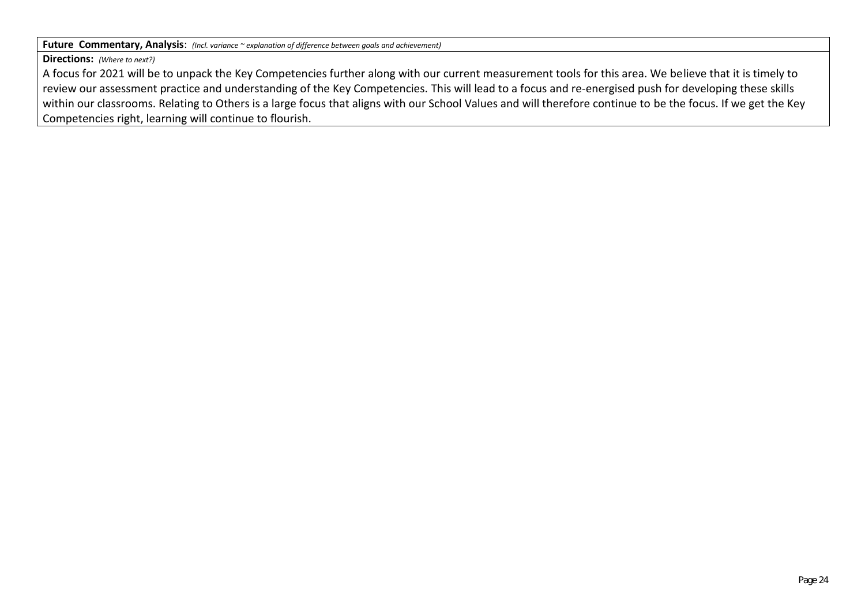**Future Commentary, Analysis**: *(Incl. variance ~ explanation of difference between goals and achievement)*

**Directions:** *(Where to next?)*

A focus for 2021 will be to unpack the Key Competencies further along with our current measurement tools for this area. We believe that it is timely to review our assessment practice and understanding of the Key Competencies. This will lead to a focus and re-energised push for developing these skills within our classrooms. Relating to Others is a large focus that aligns with our School Values and will therefore continue to be the focus. If we get the Key Competencies right, learning will continue to flourish.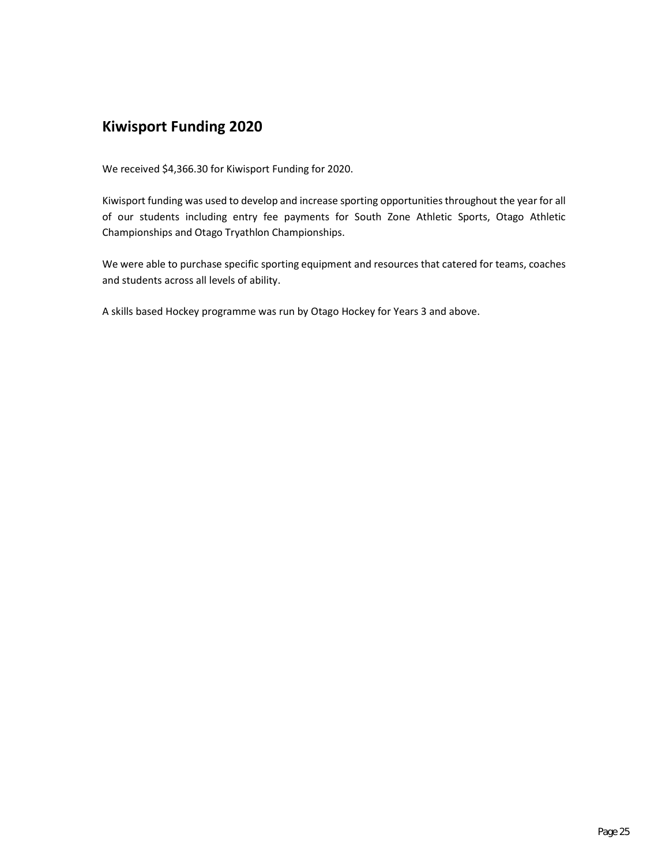### **Kiwisport Funding 2020**

We received \$4,366.30 for Kiwisport Funding for 2020.

Kiwisport funding was used to develop and increase sporting opportunities throughout the year for all of our students including entry fee payments for South Zone Athletic Sports, Otago Athletic Championships and Otago Tryathlon Championships.

We were able to purchase specific sporting equipment and resources that catered for teams, coaches and students across all levels of ability.

A skills based Hockey programme was run by Otago Hockey for Years 3 and above.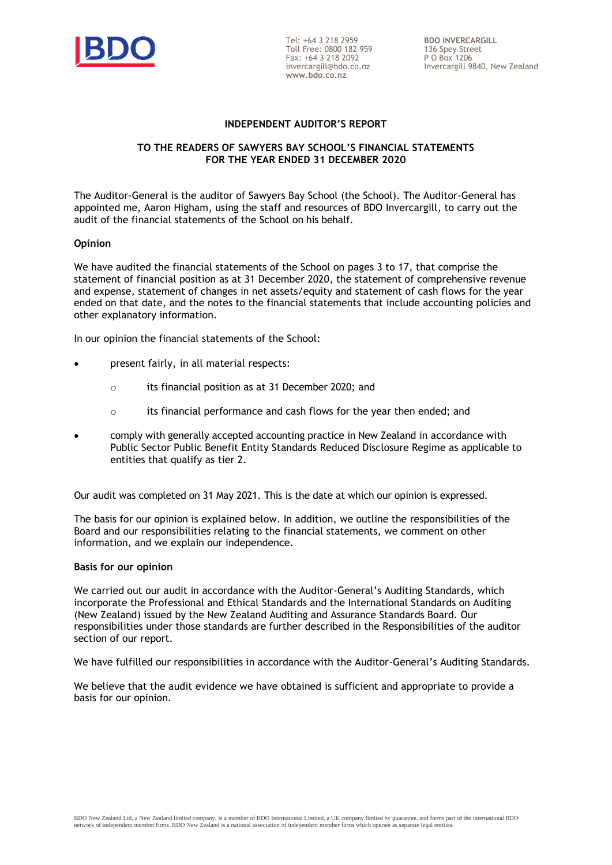

Tel: +64 3 218 2959 Toll Free: 0800 182 959 Fax: +64 3 218 2092 invercargill@bdo.co.nz **www.bdo.co.nz**

#### **INDEPENDENT AUDITOR'S REPORT**

#### **TO THE READERS OF SAWYERS BAY SCHOOL'S FINANCIAL STATEMENTS FOR THE YEAR ENDED 31 DECEMBER 2020**

The Auditor-General is the auditor of Sawyers Bay School (the School). The Auditor-General has appointed me, Aaron Higham, using the staff and resources of BDO Invercargill, to carry out the audit of the financial statements of the School on his behalf.

#### **Opinion**

We have audited the financial statements of the School on pages 3 to 17, that comprise the statement of financial position as at 31 December 2020, the statement of comprehensive revenue and expense*,* statement of changes in net assets/equity and statement of cash flows for the year ended on that date, and the notes to the financial statements that include accounting policies and other explanatory information.

In our opinion the financial statements of the School:

- present fairly, in all material respects:
	- o its financial position as at 31 December 2020; and
	- $\circ$  its financial performance and cash flows for the year then ended; and
- comply with generally accepted accounting practice in New Zealand in accordance with Public Sector Public Benefit Entity Standards Reduced Disclosure Regime as applicable to entities that qualify as tier 2.

Our audit was completed on 31 May 2021. This is the date at which our opinion is expressed.

The basis for our opinion is explained below. In addition, we outline the responsibilities of the Board and our responsibilities relating to the financial statements, we comment on other information, and we explain our independence.

#### **Basis for our opinion**

We carried out our audit in accordance with the Auditor-General's Auditing Standards, which incorporate the Professional and Ethical Standards and the International Standards on Auditing (New Zealand) issued by the New Zealand Auditing and Assurance Standards Board. Our responsibilities under those standards are further described in the Responsibilities of the auditor section of our report.

We have fulfilled our responsibilities in accordance with the Auditor-General's Auditing Standards.

We believe that the audit evidence we have obtained is sufficient and appropriate to provide a basis for our opinion.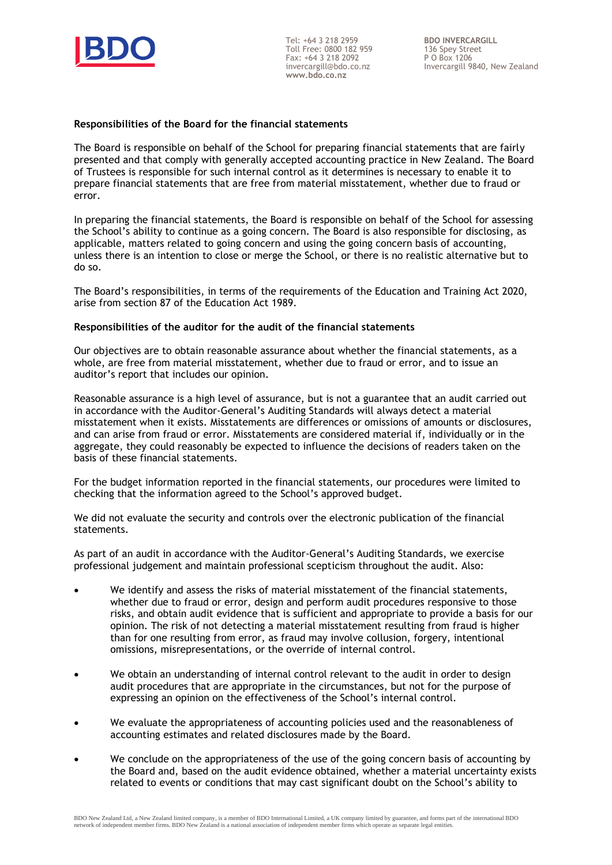

Tel: +64 3 218 2959 Toll Free: 0800 182 959 Fax: +64 3 218 2092 invercargill@bdo.co.nz **www.bdo.co.nz**

**BDO INVERCARGILL** 136 Spey Street P O Box 1206 Invercargill 9840, New Zealand

#### **Responsibilities of the Board for the financial statements**

The Board is responsible on behalf of the School for preparing financial statements that are fairly presented and that comply with generally accepted accounting practice in New Zealand. The Board of Trustees is responsible for such internal control as it determines is necessary to enable it to prepare financial statements that are free from material misstatement, whether due to fraud or error.

In preparing the financial statements, the Board is responsible on behalf of the School for assessing the School's ability to continue as a going concern. The Board is also responsible for disclosing, as applicable, matters related to going concern and using the going concern basis of accounting, unless there is an intention to close or merge the School, or there is no realistic alternative but to do so.

The Board's responsibilities, in terms of the requirements of the Education and Training Act 2020, arise from section 87 of the Education Act 1989.

#### **Responsibilities of the auditor for the audit of the financial statements**

Our objectives are to obtain reasonable assurance about whether the financial statements, as a whole, are free from material misstatement, whether due to fraud or error, and to issue an auditor's report that includes our opinion.

Reasonable assurance is a high level of assurance, but is not a guarantee that an audit carried out in accordance with the Auditor-General's Auditing Standards will always detect a material misstatement when it exists. Misstatements are differences or omissions of amounts or disclosures, and can arise from fraud or error. Misstatements are considered material if, individually or in the aggregate, they could reasonably be expected to influence the decisions of readers taken on the basis of these financial statements.

For the budget information reported in the financial statements, our procedures were limited to checking that the information agreed to the School's approved budget.

We did not evaluate the security and controls over the electronic publication of the financial statements.

As part of an audit in accordance with the Auditor-General's Auditing Standards, we exercise professional judgement and maintain professional scepticism throughout the audit. Also:

- We identify and assess the risks of material misstatement of the financial statements, whether due to fraud or error, design and perform audit procedures responsive to those risks, and obtain audit evidence that is sufficient and appropriate to provide a basis for our opinion. The risk of not detecting a material misstatement resulting from fraud is higher than for one resulting from error, as fraud may involve collusion, forgery, intentional omissions, misrepresentations, or the override of internal control.
- We obtain an understanding of internal control relevant to the audit in order to design audit procedures that are appropriate in the circumstances, but not for the purpose of expressing an opinion on the effectiveness of the School's internal control.
- We evaluate the appropriateness of accounting policies used and the reasonableness of accounting estimates and related disclosures made by the Board.
- We conclude on the appropriateness of the use of the going concern basis of accounting by the Board and, based on the audit evidence obtained, whether a material uncertainty exists related to events or conditions that may cast significant doubt on the School's ability to